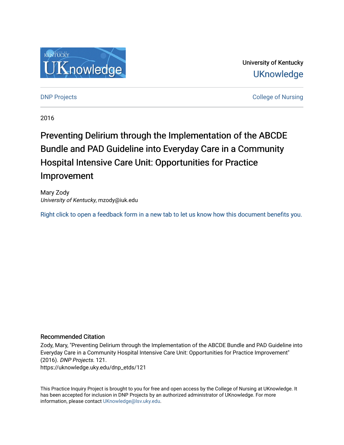

University of Kentucky **UKnowledge** 

[DNP Projects](https://uknowledge.uky.edu/dnp_etds) **College of Nursing** 

2016

# Preventing Delirium through the Implementation of the ABCDE Bundle and PAD Guideline into Everyday Care in a Community Hospital Intensive Care Unit: Opportunities for Practice Improvement

Mary Zody University of Kentucky, mzody@iuk.edu

[Right click to open a feedback form in a new tab to let us know how this document benefits you.](https://uky.az1.qualtrics.com/jfe/form/SV_9mq8fx2GnONRfz7)

### Recommended Citation

Zody, Mary, "Preventing Delirium through the Implementation of the ABCDE Bundle and PAD Guideline into Everyday Care in a Community Hospital Intensive Care Unit: Opportunities for Practice Improvement" (2016). DNP Projects. 121. https://uknowledge.uky.edu/dnp\_etds/121

This Practice Inquiry Project is brought to you for free and open access by the College of Nursing at UKnowledge. It has been accepted for inclusion in DNP Projects by an authorized administrator of UKnowledge. For more information, please contact [UKnowledge@lsv.uky.edu](mailto:UKnowledge@lsv.uky.edu).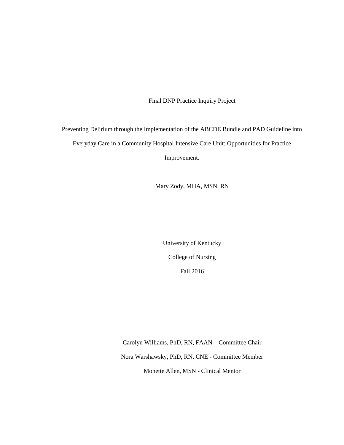Final DNP Practice Inquiry Project

Preventing Delirium through the Implementation of the ABCDE Bundle and PAD Guideline into Everyday Care in a Community Hospital Intensive Care Unit: Opportunities for Practice Improvement.

Mary Zody, MHA, MSN, RN

University of Kentucky College of Nursing Fall 2016

Carolyn Williams, PhD, RN, FAAN – Committee Chair Nora Warshawsky, PhD, RN, CNE - Committee Member Monette Allen, MSN - Clinical Mentor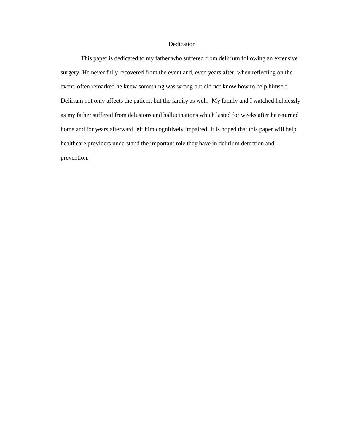### Dedication

This paper is dedicated to my father who suffered from delirium following an extensive surgery. He never fully recovered from the event and, even years after, when reflecting on the event, often remarked he knew something was wrong but did not know how to help himself. Delirium not only affects the patient, but the family as well. My family and I watched helplessly as my father suffered from delusions and hallucinations which lasted for weeks after he returned home and for years afterward left him cognitively impaired. It is hoped that this paper will help healthcare providers understand the important role they have in delirium detection and prevention.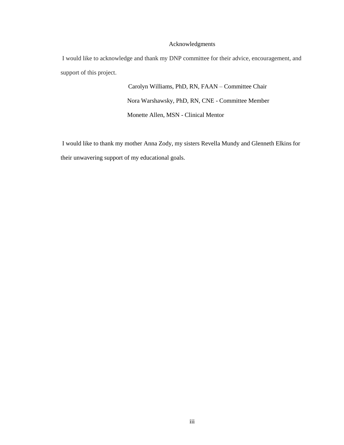### Acknowledgments

I would like to acknowledge and thank my DNP committee for their advice, encouragement, and support of this project.

> Carolyn Williams, PhD, RN, FAAN – Committee Chair Nora Warshawsky, PhD, RN, CNE - Committee Member Monette Allen, MSN - Clinical Mentor

I would like to thank my mother Anna Zody, my sisters Revella Mundy and Glenneth Elkins for their unwavering support of my educational goals.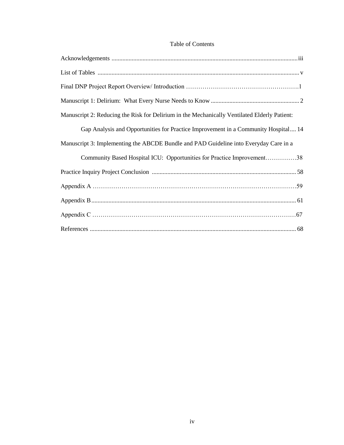## Table of Contents

| Manuscript 2: Reducing the Risk for Delirium in the Mechanically Ventilated Elderly Patient: |
|----------------------------------------------------------------------------------------------|
| Gap Analysis and Opportunities for Practice Improvement in a Community Hospital 14           |
| Manuscript 3: Implementing the ABCDE Bundle and PAD Guideline into Everyday Care in a        |
| Community Based Hospital ICU: Opportunities for Practice Improvement38                       |
|                                                                                              |
|                                                                                              |
|                                                                                              |
|                                                                                              |
|                                                                                              |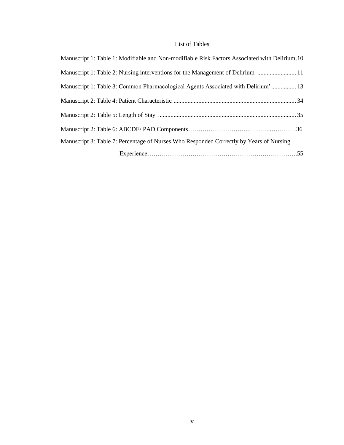### List of Tables

| Manuscript 1: Table 1: Modifiable and Non-modifiable Risk Factors Associated with Delirium.10 |  |
|-----------------------------------------------------------------------------------------------|--|
| Manuscript 1: Table 2: Nursing interventions for the Management of Delirium  11               |  |
| Manuscript 1: Table 3: Common Pharmacological Agents Associated with Delirium' 13             |  |
|                                                                                               |  |
|                                                                                               |  |
|                                                                                               |  |
| Manuscript 3: Table 7: Percentage of Nurses Who Responded Correctly by Years of Nursing       |  |
|                                                                                               |  |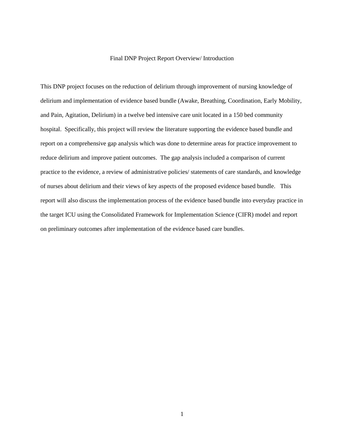#### Final DNP Project Report Overview/ Introduction

This DNP project focuses on the reduction of delirium through improvement of nursing knowledge of delirium and implementation of evidence based bundle (Awake, Breathing, Coordination, Early Mobility, and Pain, Agitation, Delirium) in a twelve bed intensive care unit located in a 150 bed community hospital. Specifically, this project will review the literature supporting the evidence based bundle and report on a comprehensive gap analysis which was done to determine areas for practice improvement to reduce delirium and improve patient outcomes. The gap analysis included a comparison of current practice to the evidence, a review of administrative policies/ statements of care standards, and knowledge of nurses about delirium and their views of key aspects of the proposed evidence based bundle. This report will also discuss the implementation process of the evidence based bundle into everyday practice in the target ICU using the Consolidated Framework for Implementation Science (CIFR) model and report on preliminary outcomes after implementation of the evidence based care bundles.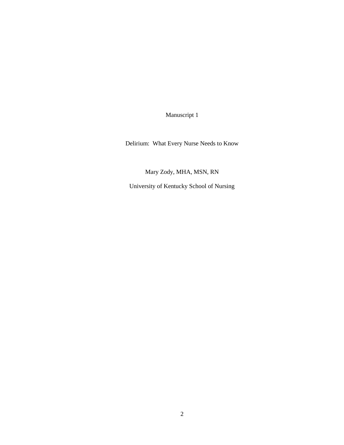Manuscript 1

Delirium: What Every Nurse Needs to Know

Mary Zody, MHA, MSN, RN

University of Kentucky School of Nursing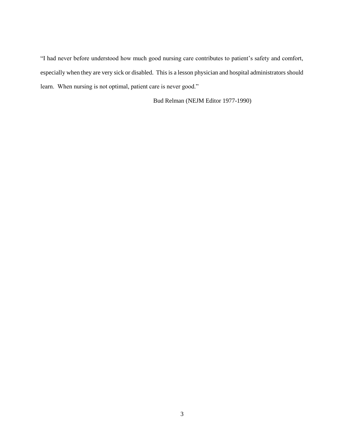"I had never before understood how much good nursing care contributes to patient's safety and comfort, especially when they are very sick or disabled. This is a lesson physician and hospital administrators should learn. When nursing is not optimal, patient care is never good."

Bud Relman (NEJM Editor 1977-1990)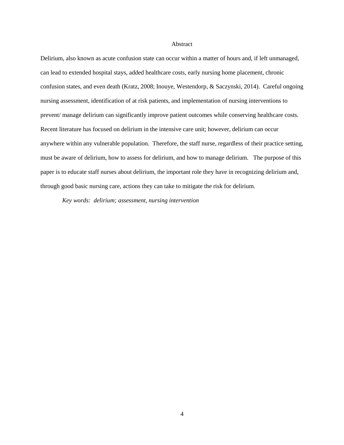### Abstract

Delirium, also known as acute confusion state can occur within a matter of hours and, if left unmanaged, can lead to extended hospital stays, added healthcare costs, early nursing home placement, chronic confusion states, and even death (Kratz, 2008; Inouye, Westendorp, & Saczynski, 2014). Careful ongoing nursing assessment, identification of at risk patients, and implementation of nursing interventions to prevent/ manage delirium can significantly improve patient outcomes while conserving healthcare costs. Recent literature has focused on delirium in the intensive care unit; however, delirium can occur anywhere within any vulnerable population. Therefore, the staff nurse, regardless of their practice setting, must be aware of delirium, how to assess for delirium, and how to manage delirium. The purpose of this paper is to educate staff nurses about delirium, the important role they have in recognizing delirium and, through good basic nursing care, actions they can take to mitigate the risk for delirium.

*Key words: delirium; assessment, nursing intervention*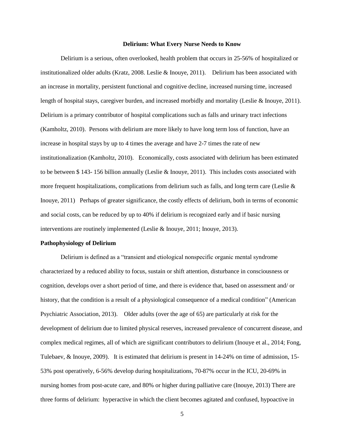#### **Delirium: What Every Nurse Needs to Know**

Delirium is a serious, often overlooked, health problem that occurs in 25-56% of hospitalized or institutionalized older adults (Kratz, 2008. Leslie & Inouye, 2011). Delirium has been associated with an increase in mortality, persistent functional and cognitive decline, increased nursing time, increased length of hospital stays, caregiver burden, and increased morbidly and mortality (Leslie & Inouye, 2011). Delirium is a primary contributor of hospital complications such as falls and urinary tract infections (Kamholtz, 2010). Persons with delirium are more likely to have long term loss of function, have an increase in hospital stays by up to 4 times the average and have 2-7 times the rate of new institutionalization (Kamholtz, 2010). Economically, costs associated with delirium has been estimated to be between \$ 143- 156 billion annually (Leslie & Inouye, 2011). This includes costs associated with more frequent hospitalizations, complications from delirium such as falls, and long term care (Leslie  $\&$ Inouye, 2011) Perhaps of greater significance, the costly effects of delirium, both in terms of economic and social costs, can be reduced by up to 40% if delirium is recognized early and if basic nursing interventions are routinely implemented (Leslie & Inouye, 2011; Inouye, 2013).

### **Pathophysiology of Delirium**

Delirium is defined as a "transient and etiological nonspecific organic mental syndrome characterized by a reduced ability to focus, sustain or shift attention, disturbance in consciousness or cognition, develops over a short period of time, and there is evidence that, based on assessment and/ or history, that the condition is a result of a physiological consequence of a medical condition" (American Psychiatric Association, 2013). Older adults (over the age of 65) are particularly at risk for the development of delirium due to limited physical reserves, increased prevalence of concurrent disease, and complex medical regimes, all of which are significant contributors to delirium (Inouye et al., 2014; Fong, Tulebaev, & Inouye, 2009). It is estimated that delirium is present in 14-24% on time of admission, 15- 53% post operatively, 6-56% develop during hospitalizations, 70-87% occur in the ICU, 20-69% in nursing homes from post-acute care, and 80% or higher during palliative care (Inouye, 2013) There are three forms of delirium: hyperactive in which the client becomes agitated and confused, hypoactive in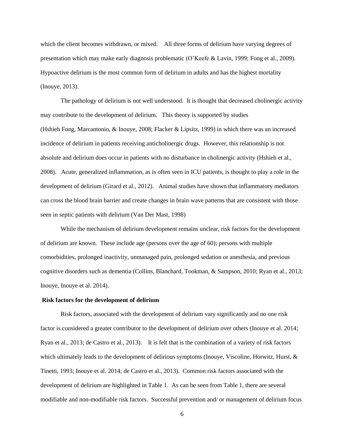which the client becomes withdrawn, or mixed. All three forms of delirium have varying degrees of presentation which may make early diagnosis problematic (O'Keefe & Lavin, 1999; Fong et al., 2009). Hypoactive delirium is the most common form of delirium in adults and has the highest mortality (Inouye, 2013).

The pathology of delirium is not well understood. It is thought that decreased cholinergic activity may contribute to the development of delirium. This theory is supported by studies (Hshieh Fong, Marcantonio, & Inouye, 2008; Flacker & Lipsitz, 1999) in which there was an increased incidence of delirium in patients receiving anticholinergic drugs. However, this relationship is not absolute and delirium does occur in patients with no disturbance in cholinergic activity (Hshieh et al., 2008). Acute, generalized inflammation, as is often seen in ICU patients, is thought to play a role in the development of delirium (Girard et al., 2012). Animal studies have shown that inflammatory mediators can cross the blood brain barrier and create changes in brain wave patterns that are consistent with those seen in septic patients with delirium (Van Der Mast, 1998)

While the mechanism of delirium development remains unclear, risk factors for the development of delirium are known. These include age (persons over the age of 60); persons with multiple comorbidities, prolonged inactivity, unmanaged pain, prolonged sedation or anesthesia, and previous cognitive disorders such as dementia (Collins, Blanchard, Tookman, & Sampson, 2010; Ryan et al., 2013; Inouye, Inouye et al. 2014).

### **Risk factors for the development of delirium**

Risk factors, associated with the development of delirium vary significantly and no one risk factor is considered a greater contributor to the development of delirium over others (Inouye et al. 2014; Ryan et al., 2013; de Castro et al., 2013). It is felt that is the combination of a variety of risk factors which ultimately leads to the development of delirious symptoms (Inouye, Viscoline, Horwitz, Hurst, & Tinetti, 1993; Inouye et al. 2014; de Castro et al., 2013). Common risk factors associated with the development of delirium are highlighted in Table 1. As can be seen from Table 1, there are several modifiable and non-modifiable risk factors. Successful prevention and/ or management of delirium focus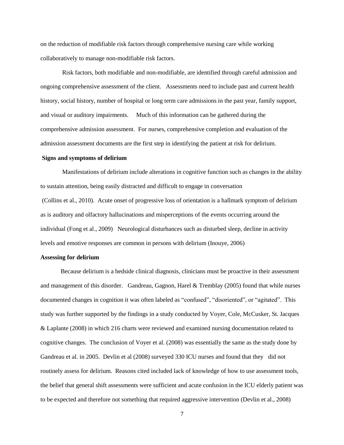on the reduction of modifiable risk factors through comprehensive nursing care while working collaboratively to manage non-modifiable risk factors.

Risk factors, both modifiable and non-modifiable, are identified through careful admission and ongoing comprehensive assessment of the client. Assessments need to include past and current health history, social history, number of hospital or long term care admissions in the past year, family support, and visual or auditory impairments. Much of this information can be gathered during the comprehensive admission assessment. For nurses, comprehensive completion and evaluation of the admission assessment documents are the first step in identifying the patient at risk for delirium.

### **Signs and symptoms of delirium**

Manifestations of delirium include alterations in cognitive function such as changes in the ability to sustain attention, being easily distracted and difficult to engage in conversation (Collins et al., 2010). Acute onset of progressive loss of orientation is a hallmark symptom of delirium as is auditory and olfactory hallucinations and misperceptions of the events occurring around the individual (Fong et al., 2009) Neurological disturbances such as disturbed sleep, decline in activity levels and emotive responses are common in persons with delirium (Inouye, 2006)

### **Assessing for delirium**

Because delirium is a bedside clinical diagnosis, clinicians must be proactive in their assessment and management of this disorder. Gandreau, Gagnon, Harel & Tremblay (2005) found that while nurses documented changes in cognition it was often labeled as "confused", "disoriented", or "agitated". This study was further supported by the findings in a study conducted by Voyer, Cole, McCusker, St. Jacques & Laplante (2008) in which 216 charts were reviewed and examined nursing documentation related to cognitive changes. The conclusion of Voyer et al. (2008) was essentially the same as the study done by Gandreau et al. in 2005. Devlin et al (2008) surveyed 330 ICU nurses and found that they did not routinely assess for delirium. Reasons cited included lack of knowledge of how to use assessment tools, the belief that general shift assessments were sufficient and acute confusion in the ICU elderly patient was to be expected and therefore not something that required aggressive intervention (Devlin et al., 2008)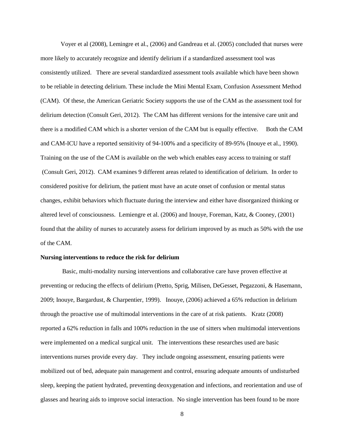Voyer et al (2008), Lemingre et al., (2006) and Gandreau et al. (2005) concluded that nurses were more likely to accurately recognize and identify delirium if a standardized assessment tool was consistently utilized. There are several standardized assessment tools available which have been shown to be reliable in detecting delirium. These include the Mini Mental Exam, Confusion Assessment Method (CAM). Of these, the American Geriatric Society supports the use of the CAM as the assessment tool for delirium detection (Consult Geri, 2012). The CAM has different versions for the intensive care unit and there is a modified CAM which is a shorter version of the CAM but is equally effective. Both the CAM and CAM-ICU have a reported sensitivity of 94-100% and a specificity of 89-95% (Inouye et al., 1990). Training on the use of the CAM is available on the web which enables easy access to training or staff (Consult Geri, 2012). CAM examines 9 different areas related to identification of delirium. In order to considered positive for delirium, the patient must have an acute onset of confusion or mental status changes, exhibit behaviors which fluctuate during the interview and either have disorganized thinking or altered level of consciousness. Lemiengre et al. (2006) and Inouye, Foreman, Katz, & Cooney, (2001) found that the ability of nurses to accurately assess for delirium improved by as much as 50% with the use of the CAM.

### **Nursing interventions to reduce the risk for delirium**

Basic, multi-modality nursing interventions and collaborative care have proven effective at preventing or reducing the effects of delirium (Pretto, Sprig, Milisen, DeGesset, Pegazzoni, & Hasemann, 2009; Inouye, Bargardust, & Charpentier, 1999). Inouye, (2006) achieved a 65% reduction in delirium through the proactive use of multimodal interventions in the care of at risk patients. Kratz (2008) reported a 62% reduction in falls and 100% reduction in the use of sitters when multimodal interventions were implemented on a medical surgical unit. The interventions these researches used are basic interventions nurses provide every day. They include ongoing assessment, ensuring patients were mobilized out of bed, adequate pain management and control, ensuring adequate amounts of undisturbed sleep, keeping the patient hydrated, preventing deoxygenation and infections, and reorientation and use of glasses and hearing aids to improve social interaction. No single intervention has been found to be more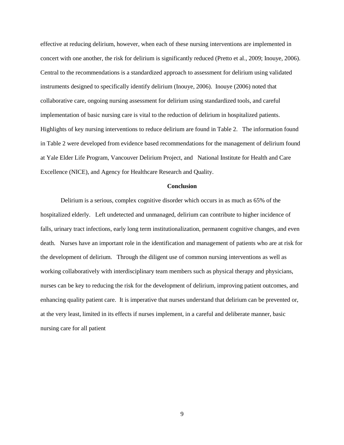effective at reducing delirium, however, when each of these nursing interventions are implemented in concert with one another, the risk for delirium is significantly reduced (Pretto et al., 2009; Inouye, 2006). Central to the recommendations is a standardized approach to assessment for delirium using validated instruments designed to specifically identify delirium (Inouye, 2006). Inouye (2006) noted that collaborative care, ongoing nursing assessment for delirium using standardized tools, and careful implementation of basic nursing care is vital to the reduction of delirium in hospitalized patients. Highlights of key nursing interventions to reduce delirium are found in Table 2. The information found in Table 2 were developed from evidence based recommendations for the management of delirium found at Yale Elder Life Program, Vancouver Delirium Project, and National Institute for Health and Care Excellence (NICE), and Agency for Healthcare Research and Quality.

### **Conclusion**

Delirium is a serious, complex cognitive disorder which occurs in as much as 65% of the hospitalized elderly. Left undetected and unmanaged, delirium can contribute to higher incidence of falls, urinary tract infections, early long term institutionalization, permanent cognitive changes, and even death. Nurses have an important role in the identification and management of patients who are at risk for the development of delirium. Through the diligent use of common nursing interventions as well as working collaboratively with interdisciplinary team members such as physical therapy and physicians, nurses can be key to reducing the risk for the development of delirium, improving patient outcomes, and enhancing quality patient care. It is imperative that nurses understand that delirium can be prevented or, at the very least, limited in its effects if nurses implement, in a careful and deliberate manner, basic nursing care for all patient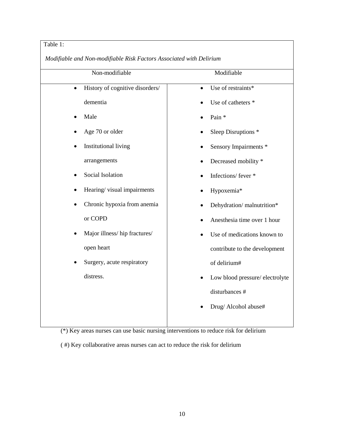### Table 1:

*Modifiable and Non-modifiable Risk Factors Associated with Delirium*

| Non-modifiable                               | Modifiable                      |
|----------------------------------------------|---------------------------------|
| History of cognitive disorders/<br>$\bullet$ | Use of restraints*<br>$\bullet$ |
| dementia                                     | Use of catheters *              |
| Male                                         | Pain *                          |
| Age 70 or older                              | Sleep Disruptions *             |
| <b>Institutional living</b>                  | Sensory Impairments *           |
| arrangements                                 | Decreased mobility *            |
| Social Isolation                             | Infections/fever *              |
| Hearing/visual impairments<br>٠              | Hypoxemia*                      |
| Chronic hypoxia from anemia<br>٠             | Dehydration/malnutrition*       |
| or COPD                                      | Anesthesia time over 1 hour     |
| Major illness/hip fractures/<br>$\bullet$    | Use of medications known to     |
| open heart                                   | contribute to the development   |
| Surgery, acute respiratory<br>$\bullet$      | of delirium#                    |
| distress.                                    | Low blood pressure/electrolyte  |
|                                              | disturbances #                  |
|                                              | Drug/ Alcohol abuse#            |
|                                              |                                 |

(\*) Key areas nurses can use basic nursing interventions to reduce risk for delirium

( #) Key collaborative areas nurses can act to reduce the risk for delirium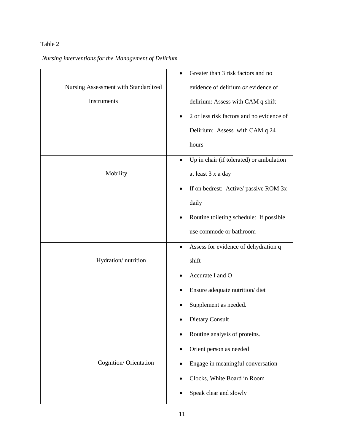### Table 2

## *Nursing interventions for the Management of Delirium*

|                                      | Greater than 3 risk factors and no<br>$\bullet$      |
|--------------------------------------|------------------------------------------------------|
| Nursing Assessment with Standardized | evidence of delirium or evidence of                  |
| Instruments                          | delirium: Assess with CAM q shift                    |
|                                      | 2 or less risk factors and no evidence of            |
|                                      | Delirium: Assess with CAM q 24                       |
|                                      | hours                                                |
|                                      | Up in chair (if tolerated) or ambulation             |
| Mobility                             | at least 3 x a day                                   |
|                                      | If on bedrest: Active/ passive ROM 3x                |
|                                      | daily                                                |
|                                      | Routine toileting schedule: If possible<br>$\bullet$ |
|                                      | use commode or bathroom                              |
|                                      | Assess for evidence of dehydration q<br>٠            |
| Hydration/nutrition                  | shift                                                |
|                                      | Accurate I and O                                     |
|                                      | Ensure adequate nutrition/diet                       |
|                                      | Supplement as needed.                                |
|                                      | <b>Dietary Consult</b>                               |
|                                      | Routine analysis of proteins.                        |
|                                      | Orient person as needed                              |
| Cognition/ Orientation               | Engage in meaningful conversation                    |
|                                      | Clocks, White Board in Room                          |
|                                      | Speak clear and slowly                               |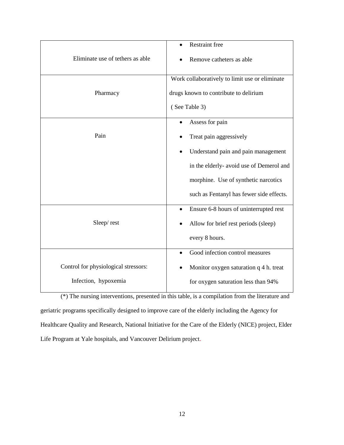| Eliminate use of tethers as able                             | <b>Restraint free</b><br>Remove catheters as able                                                                                                                                                                              |
|--------------------------------------------------------------|--------------------------------------------------------------------------------------------------------------------------------------------------------------------------------------------------------------------------------|
| Pharmacy                                                     | Work collaboratively to limit use or eliminate<br>drugs known to contribute to delirium<br>(See Table 3)                                                                                                                       |
| Pain                                                         | Assess for pain<br>$\bullet$<br>Treat pain aggressively<br>Understand pain and pain management<br>in the elderly- avoid use of Demerol and<br>morphine. Use of synthetic narcotics<br>such as Fentanyl has fewer side effects. |
| Sleep/rest                                                   | Ensure 6-8 hours of uninterrupted rest<br>$\bullet$<br>Allow for brief rest periods (sleep)<br>every 8 hours.                                                                                                                  |
| Control for physiological stressors:<br>Infection, hypoxemia | Good infection control measures<br>Monitor oxygen saturation q 4 h. treat<br>for oxygen saturation less than 94%                                                                                                               |

(\*) The nursing interventions, presented in this table, is a compilation from the literature and geriatric programs specifically designed to improve care of the elderly including the Agency for Healthcare Quality and Research, National Initiative for the Care of the Elderly (NICE) project, Elder Life Program at Yale hospitals, and Vancouver Delirium project.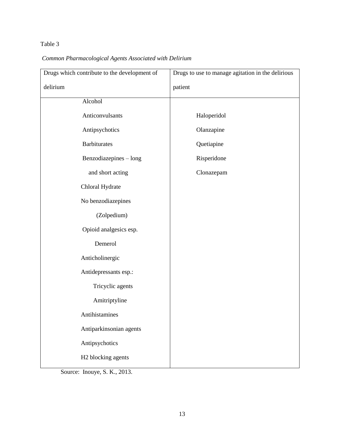## Table 3

*Common Pharmacological Agents Associated with Delirium*

| Drugs which contribute to the development of | Drugs to use to manage agitation in the delirious |
|----------------------------------------------|---------------------------------------------------|
| delirium                                     | patient                                           |
| Alcohol                                      |                                                   |
| Anticonvulsants                              | Haloperidol                                       |
| Antipsychotics                               | Olanzapine                                        |
| <b>Barbiturates</b>                          | Quetiapine                                        |
| Benzodiazepines - long                       | Risperidone                                       |
| and short acting                             | Clonazepam                                        |
| Chloral Hydrate                              |                                                   |
| No benzodiazepines                           |                                                   |
| (Zolpedium)                                  |                                                   |
| Opioid analgesics esp.                       |                                                   |
| Demerol                                      |                                                   |
| Anticholinergic                              |                                                   |
| Antidepressants esp.:                        |                                                   |
| Tricyclic agents                             |                                                   |
| Amitriptyline                                |                                                   |
| Antihistamines                               |                                                   |
| Antiparkinsonian agents                      |                                                   |
| Antipsychotics                               |                                                   |
| H2 blocking agents                           |                                                   |
|                                              |                                                   |

Source: Inouye, S. K., 2013.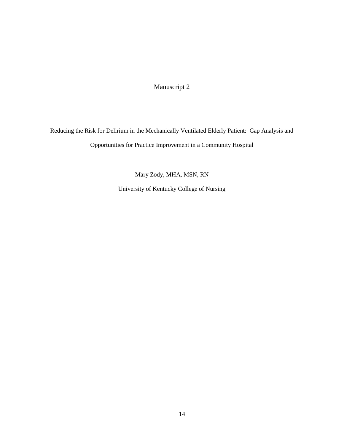Manuscript 2

Reducing the Risk for Delirium in the Mechanically Ventilated Elderly Patient: Gap Analysis and Opportunities for Practice Improvement in a Community Hospital

Mary Zody, MHA, MSN, RN

University of Kentucky College of Nursing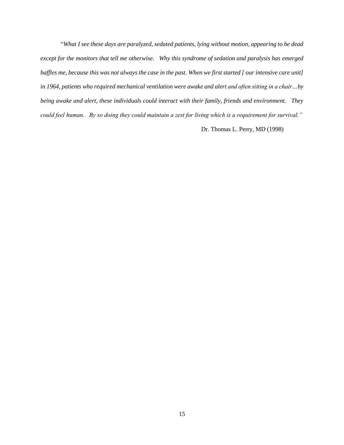"*What I see these days are paralyzed, sedated patients, lying without motion, appearing to be dead except for the monitors that tell me otherwise. Why this syndrome of sedation and paralysis has emerged baffles me, because this was not always the case in the past. When we first started [ our intensive care unit]*  in 1964, patients who required mechanical ventilation were awake and alert and often sitting in a chair...by *being awake and alert, these individuals could interact with their family, friends and environment. They could feel human. By so doing they could maintain a zest for living which is a requirement for survival."*

Dr. Thomas L. Perry, MD (1998)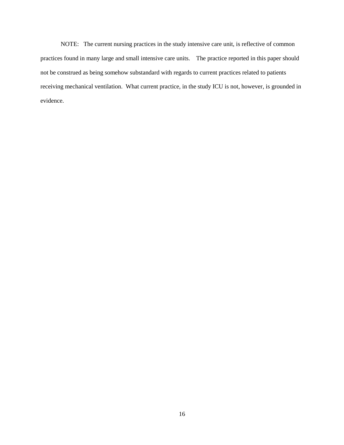NOTE: The current nursing practices in the study intensive care unit, is reflective of common practices found in many large and small intensive care units. The practice reported in this paper should not be construed as being somehow substandard with regards to current practices related to patients receiving mechanical ventilation. What current practice, in the study ICU is not, however, is grounded in evidence.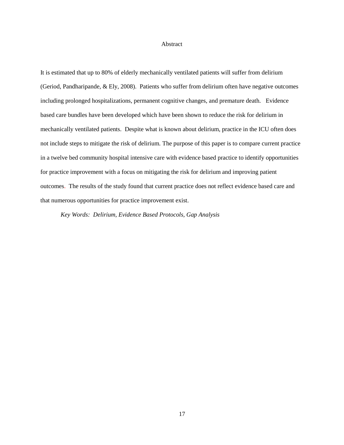### Abstract

It is estimated that up to 80% of elderly mechanically ventilated patients will suffer from delirium (Geriod, Pandharipande, & Ely, 2008). Patients who suffer from delirium often have negative outcomes including prolonged hospitalizations, permanent cognitive changes, and premature death. Evidence based care bundles have been developed which have been shown to reduce the risk for delirium in mechanically ventilated patients. Despite what is known about delirium, practice in the ICU often does not include steps to mitigate the risk of delirium. The purpose of this paper is to compare current practice in a twelve bed community hospital intensive care with evidence based practice to identify opportunities for practice improvement with a focus on mitigating the risk for delirium and improving patient outcomes. The results of the study found that current practice does not reflect evidence based care and that numerous opportunities for practice improvement exist.

*Key Words: Delirium, Evidence Based Protocols, Gap Analysis*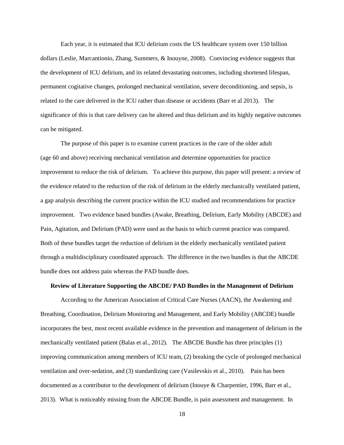Each year, it is estimated that ICU delirium costs the US healthcare system over 150 billion dollars (Leslie, Marcantionio, Zhang, Summers, & Inouyne, 2008). Convincing evidence suggests that the development of ICU delirium, and its related devastating outcomes, including shortened lifespan, permanent cogitative changes, prolonged mechanical ventilation, severe deconditioning, and sepsis, is related to the care delivered in the ICU rather than disease or accidents (Barr et al 2013). The significance of this is that care delivery can be altered and thus delirium and its highly negative outcomes can be mitigated.

The purpose of this paper is to examine current practices in the care of the older adult (age 60 and above) receiving mechanical ventilation and determine opportunities for practice improvement to reduce the risk of delirium. To achieve this purpose, this paper will present: a review of the evidence related to the reduction of the risk of delirium in the elderly mechanically ventilated patient, a gap analysis describing the current practice within the ICU studied and recommendations for practice improvement. Two evidence based bundles (Awake, Breathing, Delirium, Early Mobility (ABCDE) and Pain, Agitation, and Delirium (PAD) were used as the basis to which current practice was compared. Both of these bundles target the reduction of delirium in the elderly mechanically ventilated patient through a multidisciplinary coordinated approach. The difference in the two bundles is that the ABCDE bundle does not address pain whereas the PAD bundle does.

### **Review of Literature Supporting the ABCDE/ PAD Bundles in the Management of Delirium**

According to the American Association of Critical Care Nurses (AACN), the Awakening and Breathing, Coordination, Delirium Monitoring and Management, and Early Mobility (ABCDE) bundle incorporates the best, most recent available evidence in the prevention and management of delirium in the mechanically ventilated patient (Balas et al., 2012). The ABCDE Bundle has three principles (1) improving communication among members of ICU team, (2) breaking the cycle of prolonged mechanical ventilation and over-sedation, and (3) standardizing care (Vasilevskis et al., 2010). Pain has been documented as a contributor to the development of delirium (Inouye & Charpentier, 1996, Barr et al., 2013). What is noticeably missing from the ABCDE Bundle, is pain assessment and management. In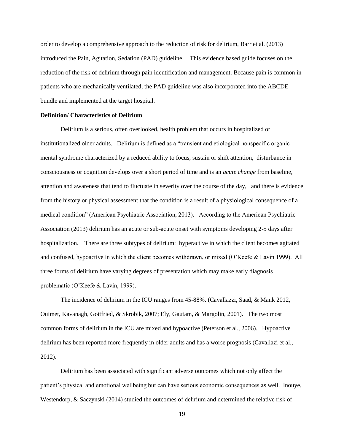order to develop a comprehensive approach to the reduction of risk for delirium, Barr et al. (2013) introduced the Pain, Agitation, Sedation (PAD) guideline. This evidence based guide focuses on the reduction of the risk of delirium through pain identification and management. Because pain is common in patients who are mechanically ventilated, the PAD guideline was also incorporated into the ABCDE bundle and implemented at the target hospital.

### **Definition/ Characteristics of Delirium**

Delirium is a serious, often overlooked, health problem that occurs in hospitalized or institutionalized older adults. Delirium is defined as a "transient and etiological nonspecific organic mental syndrome characterized by a reduced ability to focus, sustain or shift attention, disturbance in consciousness or cognition develops over a short period of time and is an *acute change* from baseline, attention and awareness that tend to fluctuate in severity over the course of the day, and there is evidence from the history or physical assessment that the condition is a result of a physiological consequence of a medical condition" (American Psychiatric Association, 2013). According to the American Psychiatric Association (2013) delirium has an acute or sub-acute onset with symptoms developing 2-5 days after hospitalization. There are three subtypes of delirium: hyperactive in which the client becomes agitated and confused, hypoactive in which the client becomes withdrawn, or mixed (O'Keefe & Lavin 1999). All three forms of delirium have varying degrees of presentation which may make early diagnosis problematic (O'Keefe & Lavin, 1999).

The incidence of delirium in the ICU ranges from 45-88%. (Cavallazzi, Saad, & Mank 2012, Ouimet, Kavanagh, Gottfried, & Skrobik, 2007; Ely, Gautam, & Margolin, 2001). The two most common forms of delirium in the ICU are mixed and hypoactive (Peterson et al., 2006). Hypoactive delirium has been reported more frequently in older adults and has a worse prognosis (Cavallazi et al., 2012).

Delirium has been associated with significant adverse outcomes which not only affect the patient's physical and emotional wellbeing but can have serious economic consequences as well. Inouye, Westendorp, & Saczynski (2014) studied the outcomes of delirium and determined the relative risk of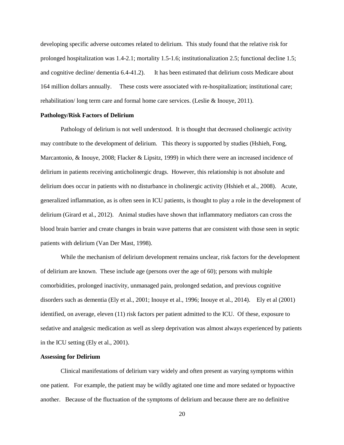developing specific adverse outcomes related to delirium. This study found that the relative risk for prolonged hospitalization was 1.4-2.1; mortality 1.5-1.6; institutionalization 2.5; functional decline 1.5; and cognitive decline/ dementia 6.4-41.2). It has been estimated that delirium costs Medicare about 164 million dollars annually. These costs were associated with re-hospitalization; institutional care; rehabilitation/ long term care and formal home care services. (Leslie & Inouye, 2011).

#### **Pathology/Risk Factors of Delirium**

Pathology of delirium is not well understood. It is thought that decreased cholinergic activity may contribute to the development of delirium. This theory is supported by studies (Hshieh, Fong, Marcantonio, & Inouye, 2008; Flacker & Lipsitz, 1999) in which there were an increased incidence of delirium in patients receiving anticholinergic drugs. However, this relationship is not absolute and delirium does occur in patients with no disturbance in cholinergic activity (Hshieh et al., 2008). Acute, generalized inflammation, as is often seen in ICU patients, is thought to play a role in the development of delirium (Girard et al., 2012). Animal studies have shown that inflammatory mediators can cross the blood brain barrier and create changes in brain wave patterns that are consistent with those seen in septic patients with delirium (Van Der Mast, 1998).

While the mechanism of delirium development remains unclear, risk factors for the development of delirium are known. These include age (persons over the age of 60); persons with multiple comorbidities, prolonged inactivity, unmanaged pain, prolonged sedation, and previous cognitive disorders such as dementia (Ely et al., 2001; Inouye et al., 1996; Inouye et al., 2014). Ely et al (2001) identified, on average, eleven (11) risk factors per patient admitted to the ICU. Of these, exposure to sedative and analgesic medication as well as sleep deprivation was almost always experienced by patients in the ICU setting (Ely et al., 2001).

### **Assessing for Delirium**

Clinical manifestations of delirium vary widely and often present as varying symptoms within one patient. For example, the patient may be wildly agitated one time and more sedated or hypoactive another. Because of the fluctuation of the symptoms of delirium and because there are no definitive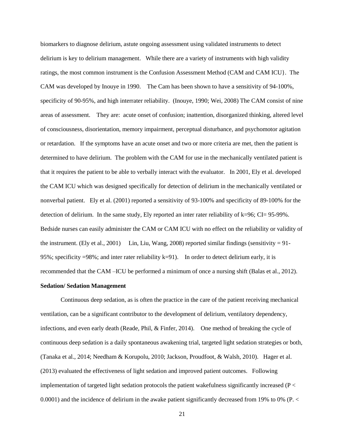biomarkers to diagnose delirium, astute ongoing assessment using validated instruments to detect delirium is key to delirium management. While there are a variety of instruments with high validity ratings, the most common instrument is the Confusion Assessment Method (CAM and CAM ICU}. The CAM was developed by Inouye in 1990. The Cam has been shown to have a sensitivity of 94-100%, specificity of 90-95%, and high interrater reliability. (Inouye, 1990; Wei, 2008) The CAM consist of nine areas of assessment. They are: acute onset of confusion; inattention, disorganized thinking, altered level of consciousness, disorientation, memory impairment, perceptual disturbance, and psychomotor agitation or retardation. If the symptoms have an acute onset and two or more criteria are met, then the patient is determined to have delirium. The problem with the CAM for use in the mechanically ventilated patient is that it requires the patient to be able to verbally interact with the evaluator. In 2001, Ely et al. developed the CAM ICU which was designed specifically for detection of delirium in the mechanically ventilated or nonverbal patient. Ely et al. (2001) reported a sensitivity of 93-100% and specificity of 89-100% for the detection of delirium. In the same study, Ely reported an inter rater reliability of k=96; CI= 95-99%. Bedside nurses can easily administer the CAM or CAM ICU with no effect on the reliability or validity of the instrument. (Ely et al., 2001) Lin, Liu, Wang, 2008) reported similar findings (sensitivity  $= 91$ -95%; specificity =98%; and inter rater reliability k=91). In order to detect delirium early, it is recommended that the CAM –ICU be performed a minimum of once a nursing shift (Balas et al., 2012).

### **Sedation/ Sedation Management**

Continuous deep sedation, as is often the practice in the care of the patient receiving mechanical ventilation, can be a significant contributor to the development of delirium, ventilatory dependency, infections, and even early death (Reade, Phil, & Finfer, 2014). One method of breaking the cycle of continuous deep sedation is a daily spontaneous awakening trial, targeted light sedation strategies or both, (Tanaka et al., 2014; Needham & Korupolu, 2010; Jackson, Proudfoot, & Walsh, 2010). Hager et al. (2013) evaluated the effectiveness of light sedation and improved patient outcomes. Following implementation of targeted light sedation protocols the patient wakefulness significantly increased (P < 0.0001) and the incidence of delirium in the awake patient significantly decreased from 19% to 0% (P. <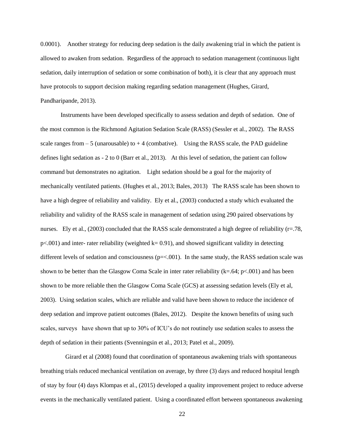0.0001). Another strategy for reducing deep sedation is the daily awakening trial in which the patient is allowed to awaken from sedation. Regardless of the approach to sedation management (continuous light sedation, daily interruption of sedation or some combination of both), it is clear that any approach must have protocols to support decision making regarding sedation management (Hughes, Girard, Pandharipande, 2013).

Instruments have been developed specifically to assess sedation and depth of sedation. One of the most common is the Richmond Agitation Sedation Scale (RASS) (Sessler et al., 2002). The RASS scale ranges from  $-5$  (unarousable) to  $+4$  (combative). Using the RASS scale, the PAD guideline defines light sedation as - 2 to 0 (Barr et al., 2013). At this level of sedation, the patient can follow command but demonstrates no agitation. Light sedation should be a goal for the majority of mechanically ventilated patients. (Hughes et al., 2013; Bales, 2013) The RASS scale has been shown to have a high degree of reliability and validity. Ely et al., (2003) conducted a study which evaluated the reliability and validity of the RASS scale in management of sedation using 290 paired observations by nurses. Ely et al.,  $(2003)$  concluded that the RASS scale demonstrated a high degree of reliability ( $r=78$ ,  $p\leq 001$ ) and inter- rater reliability (weighted k= 0.91), and showed significant validity in detecting different levels of sedation and consciousness  $(p=<.001)$ . In the same study, the RASS sedation scale was shown to be better than the Glasgow Coma Scale in inter rater reliability (k=.64; p<.001) and has been shown to be more reliable then the Glasgow Coma Scale (GCS) at assessing sedation levels (Ely et al, 2003). Using sedation scales, which are reliable and valid have been shown to reduce the incidence of deep sedation and improve patient outcomes (Bales, 2012). Despite the known benefits of using such scales, surveys have shown that up to 30% of ICU's do not routinely use sedation scales to assess the depth of sedation in their patients (Svenningsin et al., 2013; Patel et al., 2009).

 Girard et al (2008) found that coordination of spontaneous awakening trials with spontaneous breathing trials reduced mechanical ventilation on average, by three (3) days and reduced hospital length of stay by four (4) days Klompas et al., (2015) developed a quality improvement project to reduce adverse events in the mechanically ventilated patient. Using a coordinated effort between spontaneous awakening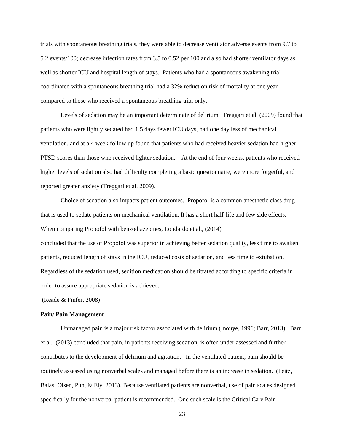trials with spontaneous breathing trials, they were able to decrease ventilator adverse events from 9.7 to 5.2 events/100; decrease infection rates from 3.5 to 0.52 per 100 and also had shorter ventilator days as well as shorter ICU and hospital length of stays. Patients who had a spontaneous awakening trial coordinated with a spontaneous breathing trial had a 32% reduction risk of mortality at one year compared to those who received a spontaneous breathing trial only.

Levels of sedation may be an important determinate of delirium. Treggari et al. (2009) found that patients who were lightly sedated had 1.5 days fewer ICU days, had one day less of mechanical ventilation, and at a 4 week follow up found that patients who had received heavier sedation had higher PTSD scores than those who received lighter sedation. At the end of four weeks, patients who received higher levels of sedation also had difficulty completing a basic questionnaire, were more forgetful, and reported greater anxiety (Treggari et al. 2009).

Choice of sedation also impacts patient outcomes. Propofol is a common anesthetic class drug that is used to sedate patients on mechanical ventilation. It has a short half-life and few side effects. When comparing Propofol with benzodiazepines, Londardo et al., (2014)

concluded that the use of Propofol was superior in achieving better sedation quality, less time to awaken patients, reduced length of stays in the ICU, reduced costs of sedation, and less time to extubation. Regardless of the sedation used, sedition medication should be titrated according to specific criteria in order to assure appropriate sedation is achieved.

(Reade & Finfer, 2008)

### **Pain/ Pain Management**

Unmanaged pain is a major risk factor associated with delirium (Inouye, 1996; Barr, 2013) Barr et al. (2013) concluded that pain, in patients receiving sedation, is often under assessed and further contributes to the development of delirium and agitation. In the ventilated patient, pain should be routinely assessed using nonverbal scales and managed before there is an increase in sedation. (Peitz, Balas, Olsen, Pun, & Ely, 2013). Because ventilated patients are nonverbal, use of pain scales designed specifically for the nonverbal patient is recommended. One such scale is the Critical Care Pain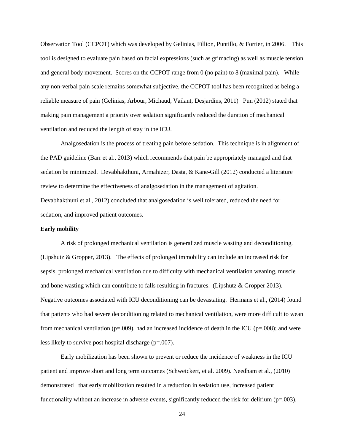Observation Tool (CCPOT) which was developed by Gelinias, Fillion, Puntillo, & Fortier, in 2006. This tool is designed to evaluate pain based on facial expressions (such as grimacing) as well as muscle tension and general body movement. Scores on the CCPOT range from 0 (no pain) to 8 (maximal pain). While any non-verbal pain scale remains somewhat subjective, the CCPOT tool has been recognized as being a reliable measure of pain (Gelinias, Arbour, Michaud, Vailant, Desjardins, 2011) Pun (2012) stated that making pain management a priority over sedation significantly reduced the duration of mechanical ventilation and reduced the length of stay in the ICU.

Analgosedation is the process of treating pain before sedation. This technique is in alignment of the PAD guideline (Barr et al., 2013) which recommends that pain be appropriately managed and that sedation be minimized. Devabhakthuni, Armahizer, Dasta, & Kane-Gill (2012) conducted a literature review to determine the effectiveness of analgosedation in the management of agitation. Devabhakthuni et al., 2012) concluded that analgosedation is well tolerated, reduced the need for sedation, and improved patient outcomes.

### **Early mobility**

A risk of prolonged mechanical ventilation is generalized muscle wasting and deconditioning. (Lipshutz & Gropper, 2013). The effects of prolonged immobility can include an increased risk for sepsis, prolonged mechanical ventilation due to difficulty with mechanical ventilation weaning, muscle and bone wasting which can contribute to falls resulting in fractures. (Lipshutz & Gropper 2013). Negative outcomes associated with ICU deconditioning can be devastating. Hermans et al., (2014) found that patients who had severe deconditioning related to mechanical ventilation, were more difficult to wean from mechanical ventilation ( $p=0.009$ ), had an increased incidence of death in the ICU ( $p=.008$ ); and were less likely to survive post hospital discharge (p=.007).

Early mobilization has been shown to prevent or reduce the incidence of weakness in the ICU patient and improve short and long term outcomes (Schweickert, et al. 2009). Needham et al., (2010) demonstrated that early mobilization resulted in a reduction in sedation use, increased patient functionality without an increase in adverse events, significantly reduced the risk for delirium ( $p=003$ ),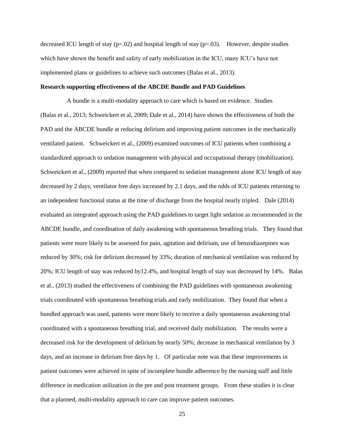decreased ICU length of stay  $(p=.02)$  and hospital length of stay  $(p=.03)$ . However, despite studies which have shown the benefit and safety of early mobilization in the ICU, many ICU's have not implemented plans or guidelines to achieve such outcomes (Balas et al., 2013).

### **Research supporting effectiveness of the ABCDE Bundle and PAD Guidelines**

 A bundle is a multi-modality approach to care which is based on evidence. Studies (Balas et al., 2013; Schweickert et al, 2009; Dale et al., 2014) have shown the effectiveness of both the PAD and the ABCDE bundle at reducing delirium and improving patient outcomes in the mechanically ventilated patient. Schweickert et al., (2009) examined outcomes of ICU patients when combining a standardized approach to sedation management with physical and occupational therapy (mobilization). Schweickert et al., (2009) reported that when compared to sedation management alone ICU length of stay decreased by 2 days, ventilator free days increased by 2.1 days, and the odds of ICU patients returning to an independent functional status at the time of discharge from the hospital nearly tripled. Dale (2014) evaluated an integrated approach using the PAD guidelines to target light sedation as recommended in the ABCDE bundle, and coordination of daily awakening with spontaneous breathing trials. They found that patients were more likely to be assessed for pain, agitation and delirium, use of benzodiazepines was reduced by 30%; risk for delirium decreased by 33%; duration of mechanical ventilation was reduced by 20%; ICU length of stay was reduced by12.4%, and hospital length of stay was decreased by 14%. Balas et al., (2013) studied the effectiveness of combining the PAD guidelines with spontaneous awakening trials coordinated with spontaneous breathing trials and early mobilization. They found that when a bundled approach was used, patients were more likely to receive a daily spontaneous awakening trial coordinated with a spontaneous breathing trial, and received daily mobilization. The results were a decreased risk for the development of delirium by nearly 50%; decrease in mechanical ventilation by 3 days, and an increase in delirium free days by 1. Of particular note was that these improvements in patient outcomes were achieved in spite of incomplete bundle adherence by the nursing staff and little difference in medication utilization in the pre and post treatment groups. From these studies it is clear that a planned, multi-modality approach to care can improve patient outcomes.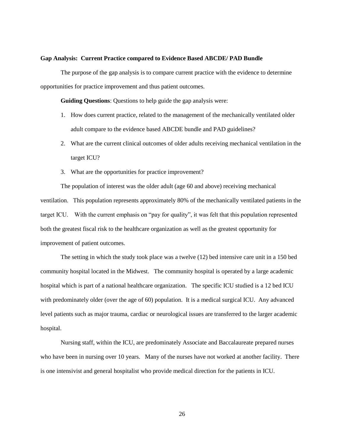### **Gap Analysis: Current Practice compared to Evidence Based ABCDE/ PAD Bundle**

The purpose of the gap analysis is to compare current practice with the evidence to determine opportunities for practice improvement and thus patient outcomes.

**Guiding Questions**: Questions to help guide the gap analysis were:

- 1. How does current practice, related to the management of the mechanically ventilated older adult compare to the evidence based ABCDE bundle and PAD guidelines?
- 2. What are the current clinical outcomes of older adults receiving mechanical ventilation in the target ICU?
- 3. What are the opportunities for practice improvement?

The population of interest was the older adult (age 60 and above) receiving mechanical ventilation. This population represents approximately 80% of the mechanically ventilated patients in the target ICU. With the current emphasis on "pay for quality", it was felt that this population represented both the greatest fiscal risk to the healthcare organization as well as the greatest opportunity for improvement of patient outcomes.

The setting in which the study took place was a twelve (12) bed intensive care unit in a 150 bed community hospital located in the Midwest. The community hospital is operated by a large academic hospital which is part of a national healthcare organization. The specific ICU studied is a 12 bed ICU with predominately older (over the age of 60) population. It is a medical surgical ICU. Any advanced level patients such as major trauma, cardiac or neurological issues are transferred to the larger academic hospital.

Nursing staff, within the ICU, are predominately Associate and Baccalaureate prepared nurses who have been in nursing over 10 years. Many of the nurses have not worked at another facility. There is one intensivist and general hospitalist who provide medical direction for the patients in ICU.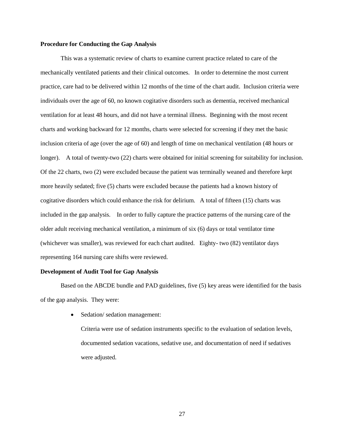### **Procedure for Conducting the Gap Analysis**

This was a systematic review of charts to examine current practice related to care of the mechanically ventilated patients and their clinical outcomes. In order to determine the most current practice, care had to be delivered within 12 months of the time of the chart audit. Inclusion criteria were individuals over the age of 60, no known cogitative disorders such as dementia, received mechanical ventilation for at least 48 hours, and did not have a terminal illness. Beginning with the most recent charts and working backward for 12 months, charts were selected for screening if they met the basic inclusion criteria of age (over the age of 60) and length of time on mechanical ventilation (48 hours or longer). A total of twenty-two (22) charts were obtained for initial screening for suitability for inclusion. Of the 22 charts, two (2) were excluded because the patient was terminally weaned and therefore kept more heavily sedated; five (5) charts were excluded because the patients had a known history of cogitative disorders which could enhance the risk for delirium. A total of fifteen (15) charts was included in the gap analysis. In order to fully capture the practice patterns of the nursing care of the older adult receiving mechanical ventilation, a minimum of six (6) days or total ventilator time (whichever was smaller), was reviewed for each chart audited. Eighty- two (82) ventilator days representing 164 nursing care shifts were reviewed.

### **Development of Audit Tool for Gap Analysis**

Based on the ABCDE bundle and PAD guidelines, five (5) key areas were identified for the basis of the gap analysis. They were:

• Sedation/ sedation management:

Criteria were use of sedation instruments specific to the evaluation of sedation levels, documented sedation vacations, sedative use, and documentation of need if sedatives were adjusted.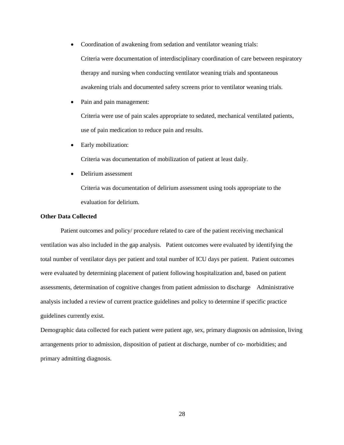- Coordination of awakening from sedation and ventilator weaning trials: Criteria were documentation of interdisciplinary coordination of care between respiratory therapy and nursing when conducting ventilator weaning trials and spontaneous awakening trials and documented safety screens prior to ventilator weaning trials.
- Pain and pain management:

Criteria were use of pain scales appropriate to sedated, mechanical ventilated patients, use of pain medication to reduce pain and results.

• Early mobilization:

Criteria was documentation of mobilization of patient at least daily.

• Delirium assessment

Criteria was documentation of delirium assessment using tools appropriate to the evaluation for delirium.

### **Other Data Collected**

Patient outcomes and policy/ procedure related to care of the patient receiving mechanical ventilation was also included in the gap analysis. Patient outcomes were evaluated by identifying the total number of ventilator days per patient and total number of ICU days per patient. Patient outcomes were evaluated by determining placement of patient following hospitalization and, based on patient assessments, determination of cognitive changes from patient admission to discharge Administrative analysis included a review of current practice guidelines and policy to determine if specific practice guidelines currently exist.

Demographic data collected for each patient were patient age, sex, primary diagnosis on admission, living arrangements prior to admission, disposition of patient at discharge, number of co- morbidities; and primary admitting diagnosis.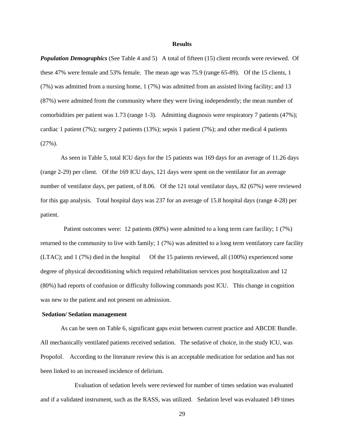#### **Results**

*Population Demographics* (See Table 4 and 5) A total of fifteen (15) client records were reviewed. Of these 47% were female and 53% female. The mean age was 75.9 (range 65-89). Of the 15 clients, 1 (7%) was admitted from a nursing home, 1 (7%) was admitted from an assisted living facility; and 13 (87%) were admitted from the community where they were living independently; the mean number of comorbidities per patient was 1.73 (range 1-3). Admitting diagnosis were respiratory 7 patients (47%); cardiac 1 patient (7%); surgery 2 patients (13%); sepsis 1 patient (7%); and other medical 4 patients (27%).

As seen in Table 5, total ICU days for the 15 patients was 169 days for an average of 11.26 days (range 2-29) per client. Of the 169 ICU days, 121 days were spent on the ventilator for an average number of ventilator days, per patient, of 8.06. Of the 121 total ventilator days, 82 (67%) were reviewed for this gap analysis. Total hospital days was 237 for an average of 15.8 hospital days (range 4-28) per patient.

 Patient outcomes were: 12 patients (80%) were admitted to a long term care facility; 1 (7%) returned to the community to live with family; 1 (7%) was admitted to a long term ventilatory care facility (LTAC); and 1 (7%) died in the hospital Of the 15 patients reviewed, all (100%) experienced some degree of physical deconditioning which required rehabilitation services post hospitalization and 12 (80%) had reports of confusion or difficulty following commands post ICU. This change in cognition was new to the patient and not present on admission.

### **Sedation/ Sedation management**

As can be seen on Table 6, significant gaps exist between current practice and ABCDE Bundle. All mechanically ventilated patients received sedation. The sedative of choice, in the study ICU, was Propofol. According to the literature review this is an acceptable medication for sedation and has not been linked to an increased incidence of delirium.

 Evaluation of sedation levels were reviewed for number of times sedation was evaluated and if a validated instrument, such as the RASS, was utilized. Sedation level was evaluated 149 times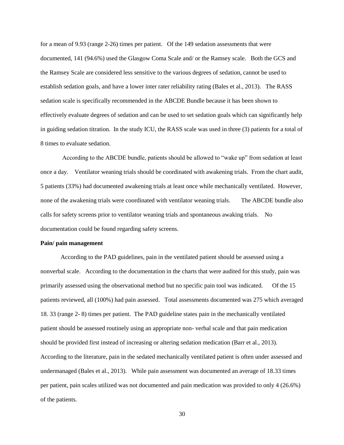for a mean of 9.93 (range 2-26) times per patient. Of the 149 sedation assessments that were documented, 141 (94.6%) used the Glasgow Coma Scale and/ or the Ramsey scale. Both the GCS and the Ramsey Scale are considered less sensitive to the various degrees of sedation, cannot be used to establish sedation goals, and have a lower inter rater reliability rating (Bales et al., 2013). The RASS sedation scale is specifically recommended in the ABCDE Bundle because it has been shown to effectively evaluate degrees of sedation and can be used to set sedation goals which can significantly help in guiding sedation titration. In the study ICU, the RASS scale was used in three (3) patients for a total of 8 times to evaluate sedation.

According to the ABCDE bundle, patients should be allowed to "wake up" from sedation at least once a day. Ventilator weaning trials should be coordinated with awakening trials. From the chart audit, 5 patients (33%) had documented awakening trials at least once while mechanically ventilated. However, none of the awakening trials were coordinated with ventilator weaning trials. The ABCDE bundle also calls for safety screens prior to ventilator weaning trials and spontaneous awaking trials. No documentation could be found regarding safety screens.

### **Pain/ pain management**

According to the PAD guidelines, pain in the ventilated patient should be assessed using a nonverbal scale. According to the documentation in the charts that were audited for this study, pain was primarily assessed using the observational method but no specific pain tool was indicated. Of the 15 patients reviewed, all (100%) had pain assessed. Total assessments documented was 275 which averaged 18. 33 (range 2- 8) times per patient. The PAD guideline states pain in the mechanically ventilated patient should be assessed routinely using an appropriate non- verbal scale and that pain medication should be provided first instead of increasing or altering sedation medication (Barr et al., 2013). According to the literature, pain in the sedated mechanically ventilated patient is often under assessed and undermanaged (Bales et al., 2013). While pain assessment was documented an average of 18.33 times per patient, pain scales utilized was not documented and pain medication was provided to only 4 (26.6%) of the patients.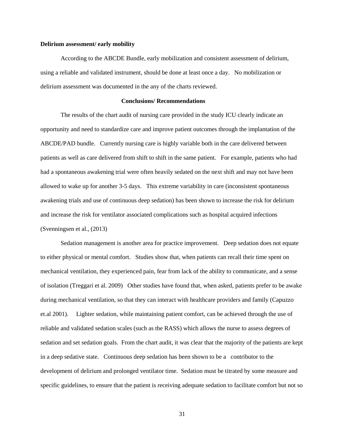#### **Delirium assessment/ early mobility**

According to the ABCDE Bundle, early mobilization and consistent assessment of delirium, using a reliable and validated instrument, should be done at least once a day. No mobilization or delirium assessment was documented in the any of the charts reviewed.

#### **Conclusions/ Recommendations**

The results of the chart audit of nursing care provided in the study ICU clearly indicate an opportunity and need to standardize care and improve patient outcomes through the implantation of the ABCDE/PAD bundle. Currently nursing care is highly variable both in the care delivered between patients as well as care delivered from shift to shift in the same patient. For example, patients who had had a spontaneous awakening trial were often heavily sedated on the next shift and may not have been allowed to wake up for another 3-5 days. This extreme variability in care (inconsistent spontaneous awakening trials and use of continuous deep sedation) has been shown to increase the risk for delirium and increase the risk for ventilator associated complications such as hospital acquired infections (Svenningsen et al., (2013)

Sedation management is another area for practice improvement. Deep sedation does not equate to either physical or mental comfort. Studies show that, when patients can recall their time spent on mechanical ventilation, they experienced pain, fear from lack of the ability to communicate, and a sense of isolation (Treggari et al. 2009) Other studies have found that, when asked, patients prefer to be awake during mechanical ventilation, so that they can interact with healthcare providers and family (Capuzzo et.al 2001). Lighter sedation, while maintaining patient comfort, can be achieved through the use of reliable and validated sedation scales (such as the RASS) which allows the nurse to assess degrees of sedation and set sedation goals. From the chart audit, it was clear that the majority of the patients are kept in a deep sedative state. Continuous deep sedation has been shown to be a contributor to the development of delirium and prolonged ventilator time. Sedation must be titrated by some measure and specific guidelines, to ensure that the patient is receiving adequate sedation to facilitate comfort but not so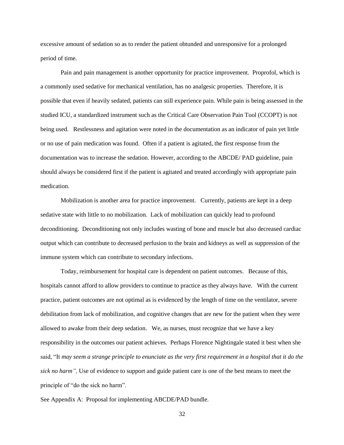excessive amount of sedation so as to render the patient obtunded and unresponsive for a prolonged period of time.

Pain and pain management is another opportunity for practice improvement. Proprofol, which is a commonly used sedative for mechanical ventilation, has no analgesic properties. Therefore, it is possible that even if heavily sedated, patients can still experience pain. While pain is being assessed in the studied ICU, a standardized instrument such as the Critical Care Observation Pain Tool (CCOPT) is not being used. Restlessness and agitation were noted in the documentation as an indicator of pain yet little or no use of pain medication was found. Often if a patient is agitated, the first response from the documentation was to increase the sedation. However, according to the ABCDE/ PAD guideline, pain should always be considered first if the patient is agitated and treated accordingly with appropriate pain medication.

Mobilization is another area for practice improvement. Currently, patients are kept in a deep sedative state with little to no mobilization. Lack of mobilization can quickly lead to profound deconditioning. Deconditioning not only includes wasting of bone and muscle but also decreased cardiac output which can contribute to decreased perfusion to the brain and kidneys as well as suppression of the immune system which can contribute to secondary infections.

Today, reimbursement for hospital care is dependent on patient outcomes. Because of this, hospitals cannot afford to allow providers to continue to practice as they always have. With the current practice, patient outcomes are not optimal as is evidenced by the length of time on the ventilator, severe debilitation from lack of mobilization, and cognitive changes that are new for the patient when they were allowed to awake from their deep sedation. We, as nurses, must recognize that we have a key responsibility in the outcomes our patient achieves. Perhaps Florence Nightingale stated it best when she said, "It *may seem a strange principle to enunciate as the very first requirement in a hospital that it do the sick no harm",* Use of evidence to support and guide patient care is one of the best means to meet the principle of "do the sick no harm".

See Appendix A: Proposal for implementing ABCDE/PAD bundle.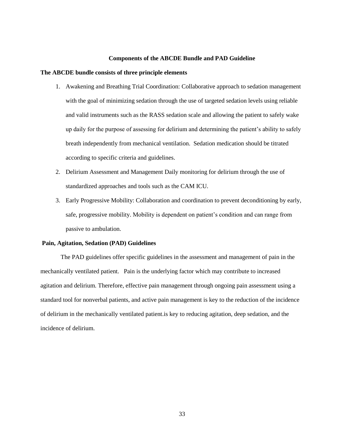#### **Components of the ABCDE Bundle and PAD Guideline**

## **The ABCDE bundle consists of three principle elements**

- 1. Awakening and Breathing Trial Coordination: Collaborative approach to sedation management with the goal of minimizing sedation through the use of targeted sedation levels using reliable and valid instruments such as the RASS sedation scale and allowing the patient to safely wake up daily for the purpose of assessing for delirium and determining the patient's ability to safely breath independently from mechanical ventilation. Sedation medication should be titrated according to specific criteria and guidelines.
- 2. Delirium Assessment and Management Daily monitoring for delirium through the use of standardized approaches and tools such as the CAM ICU.
- 3. Early Progressive Mobility: Collaboration and coordination to prevent deconditioning by early, safe, progressive mobility. Mobility is dependent on patient's condition and can range from passive to ambulation.

### **Pain, Agitation, Sedation (PAD) Guidelines**

The PAD guidelines offer specific guidelines in the assessment and management of pain in the mechanically ventilated patient. Pain is the underlying factor which may contribute to increased agitation and delirium. Therefore, effective pain management through ongoing pain assessment using a standard tool for nonverbal patients, and active pain management is key to the reduction of the incidence of delirium in the mechanically ventilated patient.is key to reducing agitation, deep sedation, and the incidence of delirium.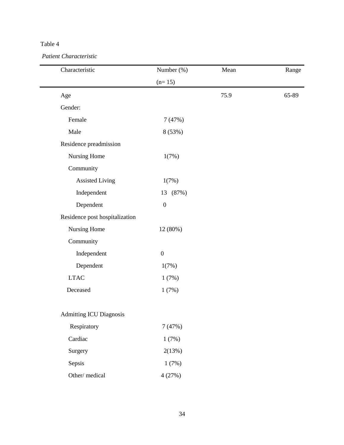*Patient Characteristic*

| Characteristic                 | Number (%)       | Mean | Range |
|--------------------------------|------------------|------|-------|
|                                | $(n=15)$         |      |       |
| Age                            |                  | 75.9 | 65-89 |
| Gender:                        |                  |      |       |
| Female                         | 7(47%)           |      |       |
| Male                           | 8 (53%)          |      |       |
| Residence preadmission         |                  |      |       |
| Nursing Home                   | 1(7%)            |      |       |
| Community                      |                  |      |       |
| <b>Assisted Living</b>         | 1(7%)            |      |       |
| Independent                    | 13 (87%)         |      |       |
| Dependent                      | $\boldsymbol{0}$ |      |       |
| Residence post hospitalization |                  |      |       |
| Nursing Home                   | 12 (80%)         |      |       |
| Community                      |                  |      |       |
| Independent                    | $\boldsymbol{0}$ |      |       |
| Dependent                      | 1(7%)            |      |       |
| <b>LTAC</b>                    | 1(7%)            |      |       |
| Deceased                       | 1(7%)            |      |       |
| <b>Admitting ICU Diagnosis</b> |                  |      |       |
| Respiratory                    | 7(47%)           |      |       |
| Cardiac                        | 1(7%)            |      |       |
| Surgery                        | 2(13%)           |      |       |
| Sepsis                         | 1(7%)            |      |       |
| Other/medical                  | 4(27%)           |      |       |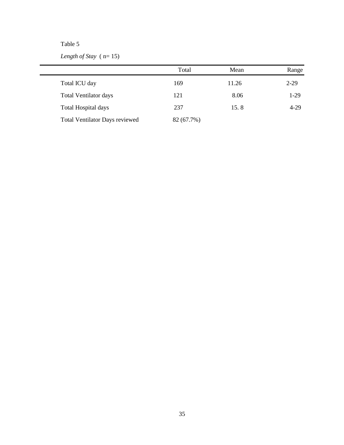*Length of Stay* ( n= 15)

|                                | Total      | Mean  | Range  |
|--------------------------------|------------|-------|--------|
| Total ICU day                  | 169        | 11.26 | $2-29$ |
| <b>Total Ventilator days</b>   | 121        | 8.06  | $1-29$ |
| Total Hospital days            | 237        | 15.8  | $4-29$ |
| Total Ventilator Days reviewed | 82 (67.7%) |       |        |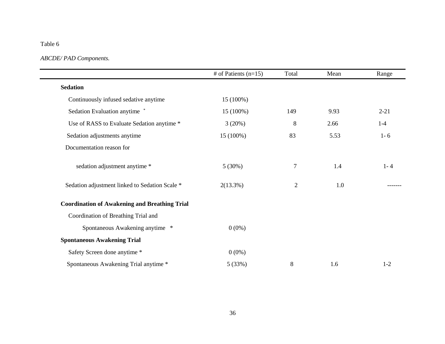# *ABCDE/ PAD Components.*

|                                                      | # of Patients $(n=15)$ | Total          | Mean | Range    |
|------------------------------------------------------|------------------------|----------------|------|----------|
| <b>Sedation</b>                                      |                        |                |      |          |
| Continuously infused sedative anytime                | 15 (100%)              |                |      |          |
| Sedation Evaluation anytime *                        | 15 (100%)              | 149            | 9.93 | $2 - 21$ |
| Use of RASS to Evaluate Sedation anytime *           | 3(20%)                 | 8              | 2.66 | $1-4$    |
| Sedation adjustments anytime                         | 15 (100%)              | 83             | 5.53 | $1 - 6$  |
| Documentation reason for                             |                        |                |      |          |
| sedation adjustment anytime *                        | 5(30%)                 | 7              | 1.4  | $1 - 4$  |
| Sedation adjustment linked to Sedation Scale *       | 2(13.3%)               | $\overline{2}$ | 1.0  |          |
| <b>Coordination of Awakening and Breathing Trial</b> |                        |                |      |          |
| Coordination of Breathing Trial and                  |                        |                |      |          |
| Spontaneous Awakening anytime *                      | $0(0\%)$               |                |      |          |
| <b>Spontaneous Awakening Trial</b>                   |                        |                |      |          |
| Safety Screen done anytime *                         | $0(0\%)$               |                |      |          |
| Spontaneous Awakening Trial anytime *                | 5(33%)                 | 8              | 1.6  | $1 - 2$  |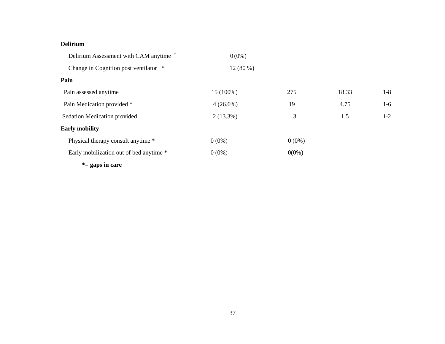# **Delirium**

| Delirium Assessment with CAM anytime *  | $0(0\%)$    |          |       |         |
|-----------------------------------------|-------------|----------|-------|---------|
| Change in Cognition post ventilator *   | $12(80\%)$  |          |       |         |
| Pain                                    |             |          |       |         |
| Pain assessed anytime                   | 15 (100%)   | 275      | 18.33 | $1-8$   |
| Pain Medication provided *              | $4(26.6\%)$ | 19       | 4.75  | $1-6$   |
| Sedation Medication provided            | $2(13.3\%)$ | 3        | 1.5   | $1 - 2$ |
| <b>Early mobility</b>                   |             |          |       |         |
| Physical therapy consult anytime *      | $0(0\%)$    | $0(0\%)$ |       |         |
| Early mobilization out of bed anytime * | $0(0\%)$    | $0(0\%)$ |       |         |
| $* =$ gaps in care                      |             |          |       |         |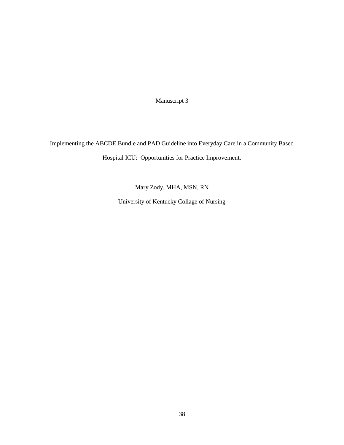Manuscript 3

Implementing the ABCDE Bundle and PAD Guideline into Everyday Care in a Community Based Hospital ICU: Opportunities for Practice Improvement.

Mary Zody, MHA, MSN, RN

University of Kentucky Collage of Nursing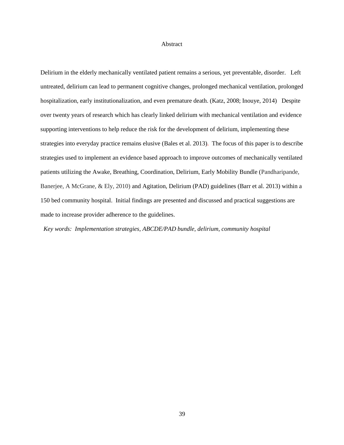## Abstract

Delirium in the elderly mechanically ventilated patient remains a serious, yet preventable, disorder. Left untreated, delirium can lead to permanent cognitive changes, prolonged mechanical ventilation, prolonged hospitalization, early institutionalization, and even premature death. (Katz, 2008; Inouye, 2014) Despite over twenty years of research which has clearly linked delirium with mechanical ventilation and evidence supporting interventions to help reduce the risk for the development of delirium, implementing these strategies into everyday practice remains elusive (Bales et al. 2013). The focus of this paper is to describe strategies used to implement an evidence based approach to improve outcomes of mechanically ventilated patients utilizing the Awake, Breathing, Coordination, Delirium, Early Mobility Bundle (Pandharipande, Banerjee, A McGrane, & Ely, 2010) and Agitation, Delirium (PAD) guidelines (Barr et al. 2013) within a 150 bed community hospital. Initial findings are presented and discussed and practical suggestions are made to increase provider adherence to the guidelines.

*Key words: Implementation strategies, ABCDE/PAD bundle, delirium, community hospital*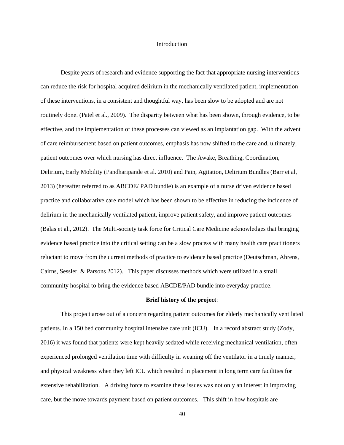### Introduction

Despite years of research and evidence supporting the fact that appropriate nursing interventions can reduce the risk for hospital acquired delirium in the mechanically ventilated patient, implementation of these interventions, in a consistent and thoughtful way, has been slow to be adopted and are not routinely done. (Patel et al., 2009). The disparity between what has been shown, through evidence, to be effective, and the implementation of these processes can viewed as an implantation gap. With the advent of care reimbursement based on patient outcomes, emphasis has now shifted to the care and, ultimately, patient outcomes over which nursing has direct influence. The Awake, Breathing, Coordination, Delirium, Early Mobility (Pandharipande et al. 2010) and Pain, Agitation, Delirium Bundles (Barr et al, 2013) (hereafter referred to as ABCDE/ PAD bundle) is an example of a nurse driven evidence based practice and collaborative care model which has been shown to be effective in reducing the incidence of delirium in the mechanically ventilated patient, improve patient safety, and improve patient outcomes (Balas et al., 2012). The Multi-society task force for Critical Care Medicine acknowledges that bringing evidence based practice into the critical setting can be a slow process with many health care practitioners reluctant to move from the current methods of practice to evidence based practice (Deutschman, Ahrens, Cairns, Sessler, & Parsons 2012). This paper discusses methods which were utilized in a small community hospital to bring the evidence based ABCDE/PAD bundle into everyday practice.

## **Brief history of the project**:

This project arose out of a concern regarding patient outcomes for elderly mechanically ventilated patients. In a 150 bed community hospital intensive care unit (ICU). In a record abstract study (Zody, 2016) it was found that patients were kept heavily sedated while receiving mechanical ventilation, often experienced prolonged ventilation time with difficulty in weaning off the ventilator in a timely manner, and physical weakness when they left ICU which resulted in placement in long term care facilities for extensive rehabilitation. A driving force to examine these issues was not only an interest in improving care, but the move towards payment based on patient outcomes. This shift in how hospitals are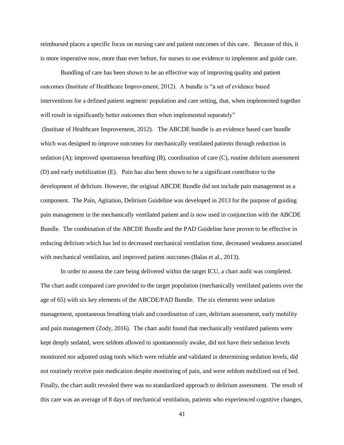reimbursed places a specific focus on nursing care and patient outcomes of this care. Because of this, it is more imperative now, more than ever before, for nurses to use evidence to implement and guide care.

Bundling of care has been shown to be an effective way of improving quality and patient outcomes (Institute of Healthcare Improvement, 2012). A bundle is "a set of evidence based interventions for a defined patient segment/ population and care setting, that, when implemented together will result in significantly better outcomes then when implemented separately"

(Institute of Healthcare Improvement, 2012). The ABCDE bundle is an evidence based care bundle which was designed to improve outcomes for mechanically ventilated patients through reduction in sedation (A); improved spontaneous breathing (B), coordination of care (C), routine delirium assessment (D) and early mobilization (E). Pain has also been shown to be a significant contributor to the development of delirium. However, the original ABCDE Bundle did not include pain management as a component. The Pain, Agitation, Delirium Guideline was developed in 2013 for the purpose of guiding pain management in the mechanically ventilated patient and is now used in conjunction with the ABCDE Bundle. The combination of the ABCDE Bundle and the PAD Guideline have proven to be effective in reducing delirium which has led to decreased mechanical ventilation time, decreased weakness associated with mechanical ventilation, and improved patient outcomes (Balas et al., 2013).

In order to assess the care being delivered within the target ICU, a chart audit was completed. The chart audit compared care provided to the target population (mechanically ventilated patients over the age of 65) with six key elements of the ABCDE/PAD Bundle. The six elements were sedation management, spontaneous breathing trials and coordination of care, delirium assessment, early mobility and pain management (Zody, 2016). The chart audit found that mechanically ventilated patients were kept deeply sedated, were seldom allowed to spontaneously awake, did not have their sedation levels monitored nor adjusted using tools which were reliable and validated in determining sedation levels, did not routinely receive pain medication despite monitoring of pain, and were seldom mobilized out of bed. Finally, the chart audit revealed there was no standardized approach to delirium assessment. The result of this care was an average of 8 days of mechanical ventilation, patients who experienced cognitive changes,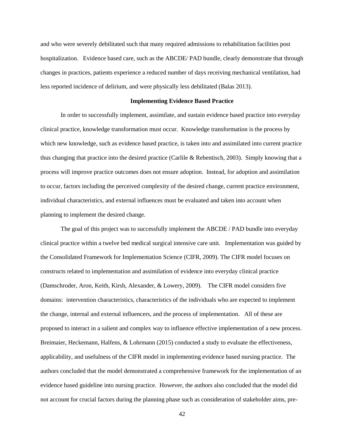and who were severely debilitated such that many required admissions to rehabilitation facilities post hospitalization. Evidence based care, such as the ABCDE/ PAD bundle, clearly demonstrate that through changes in practices, patients experience a reduced number of days receiving mechanical ventilation, had less reported incidence of delirium, and were physically less debilitated (Balas 2013).

#### **Implementing Evidence Based Practice**

In order to successfully implement, assimilate, and sustain evidence based practice into everyday clinical practice, knowledge transformation must occur. Knowledge transformation is the process by which new knowledge, such as evidence based practice, is taken into and assimilated into current practice thus changing that practice into the desired practice (Carlile & Rebentisch, 2003). Simply knowing that a process will improve practice outcomes does not ensure adoption. Instead, for adoption and assimilation to occur, factors including the perceived complexity of the desired change, current practice environment, individual characteristics, and external influences must be evaluated and taken into account when planning to implement the desired change.

The goal of this project was to successfully implement the ABCDE / PAD bundle into everyday clinical practice within a twelve bed medical surgical intensive care unit. Implementation was guided by the Consolidated Framework for Implementation Science (CIFR, 2009). The CIFR model focuses on constructs related to implementation and assimilation of evidence into everyday clinical practice (Damschroder, Aron, Keith, Kirsh, Alexander, & Lowery, 2009). The CIFR model considers five domains: intervention characteristics, characteristics of the individuals who are expected to implement the change, internal and external influencers, and the process of implementation. All of these are proposed to interact in a salient and complex way to influence effective implementation of a new process. Breimaier, Heckemann, Halfens, & Lohrmann (2015) conducted a study to evaluate the effectiveness, applicability, and usefulness of the CIFR model in implementing evidence based nursing practice. The authors concluded that the model demonstrated a comprehensive framework for the implementation of an evidence based guideline into nursing practice. However, the authors also concluded that the model did not account for crucial factors during the planning phase such as consideration of stakeholder aims, pre-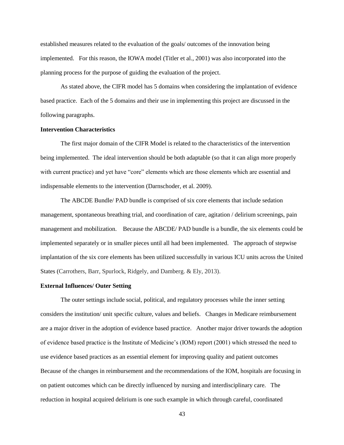established measures related to the evaluation of the goals/ outcomes of the innovation being implemented. For this reason, the IOWA model (Titler et al., 2001) was also incorporated into the planning process for the purpose of guiding the evaluation of the project.

As stated above, the CIFR model has 5 domains when considering the implantation of evidence based practice. Each of the 5 domains and their use in implementing this project are discussed in the following paragraphs.

# **Intervention Characteristics**

The first major domain of the CIFR Model is related to the characteristics of the intervention being implemented. The ideal intervention should be both adaptable (so that it can align more properly with current practice) and yet have "core" elements which are those elements which are essential and indispensable elements to the intervention (Darnschoder, et al. 2009).

The ABCDE Bundle/ PAD bundle is comprised of six core elements that include sedation management, spontaneous breathing trial, and coordination of care, agitation / delirium screenings, pain management and mobilization. Because the ABCDE/ PAD bundle is a bundle, the six elements could be implemented separately or in smaller pieces until all had been implemented. The approach of stepwise implantation of the six core elements has been utilized successfully in various ICU units across the United States (Carrothers, Barr, Spurlock, Ridgely, and Damberg. & Ely, 2013).

## **External Influences/ Outer Setting**

The outer settings include social, political, and regulatory processes while the inner setting considers the institution/ unit specific culture, values and beliefs. Changes in Medicare reimbursement are a major driver in the adoption of evidence based practice. Another major driver towards the adoption of evidence based practice is the Institute of Medicine's (IOM) report (2001) which stressed the need to use evidence based practices as an essential element for improving quality and patient outcomes Because of the changes in reimbursement and the recommendations of the IOM, hospitals are focusing in on patient outcomes which can be directly influenced by nursing and interdisciplinary care. The reduction in hospital acquired delirium is one such example in which through careful, coordinated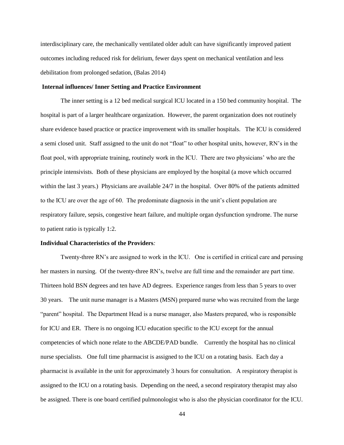interdisciplinary care, the mechanically ventilated older adult can have significantly improved patient outcomes including reduced risk for delirium, fewer days spent on mechanical ventilation and less debilitation from prolonged sedation, (Balas 2014)

# **Internal influences/ Inner Setting and Practice Environment**

The inner setting is a 12 bed medical surgical ICU located in a 150 bed community hospital. The hospital is part of a larger healthcare organization. However, the parent organization does not routinely share evidence based practice or practice improvement with its smaller hospitals. The ICU is considered a semi closed unit. Staff assigned to the unit do not "float" to other hospital units, however, RN's in the float pool, with appropriate training, routinely work in the ICU. There are two physicians' who are the principle intensivists. Both of these physicians are employed by the hospital (a move which occurred within the last 3 years.) Physicians are available 24/7 in the hospital. Over 80% of the patients admitted to the ICU are over the age of 60. The predominate diagnosis in the unit's client population are respiratory failure, sepsis, congestive heart failure, and multiple organ dysfunction syndrome. The nurse to patient ratio is typically 1:2.

#### **Individual Characteristics of the Providers***:*

Twenty-three RN's are assigned to work in the ICU. One is certified in critical care and perusing her masters in nursing. Of the twenty-three RN's, twelve are full time and the remainder are part time. Thirteen hold BSN degrees and ten have AD degrees. Experience ranges from less than 5 years to over 30 years. The unit nurse manager is a Masters (MSN) prepared nurse who was recruited from the large "parent" hospital. The Department Head is a nurse manager, also Masters prepared, who is responsible for ICU and ER. There is no ongoing ICU education specific to the ICU except for the annual competencies of which none relate to the ABCDE/PAD bundle. Currently the hospital has no clinical nurse specialists. One full time pharmacist is assigned to the ICU on a rotating basis. Each day a pharmacist is available in the unit for approximately 3 hours for consultation. A respiratory therapist is assigned to the ICU on a rotating basis. Depending on the need, a second respiratory therapist may also be assigned. There is one board certified pulmonologist who is also the physician coordinator for the ICU.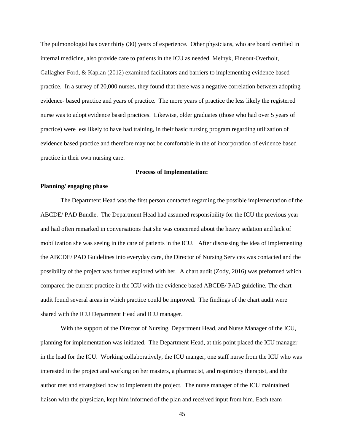The pulmonologist has over thirty (30) years of experience. Other physicians, who are board certified in internal medicine, also provide care to patients in the ICU as needed. Melnyk, Fineout-Overholt, Gallagher-Ford, & Kaplan (2012) examined facilitators and barriers to implementing evidence based practice. In a survey of 20,000 nurses, they found that there was a negative correlation between adopting evidence- based practice and years of practice. The more years of practice the less likely the registered nurse was to adopt evidence based practices. Likewise, older graduates (those who had over 5 years of practice) were less likely to have had training, in their basic nursing program regarding utilization of evidence based practice and therefore may not be comfortable in the of incorporation of evidence based practice in their own nursing care.

#### **Process of Implementation:**

# **Planning/ engaging phase**

The Department Head was the first person contacted regarding the possible implementation of the ABCDE/ PAD Bundle. The Department Head had assumed responsibility for the ICU the previous year and had often remarked in conversations that she was concerned about the heavy sedation and lack of mobilization she was seeing in the care of patients in the ICU. After discussing the idea of implementing the ABCDE/ PAD Guidelines into everyday care, the Director of Nursing Services was contacted and the possibility of the project was further explored with her. A chart audit (Zody, 2016) was preformed which compared the current practice in the ICU with the evidence based ABCDE/ PAD guideline. The chart audit found several areas in which practice could be improved. The findings of the chart audit were shared with the ICU Department Head and ICU manager.

With the support of the Director of Nursing, Department Head, and Nurse Manager of the ICU, planning for implementation was initiated. The Department Head, at this point placed the ICU manager in the lead for the ICU. Working collaboratively, the ICU manger, one staff nurse from the ICU who was interested in the project and working on her masters, a pharmacist, and respiratory therapist, and the author met and strategized how to implement the project. The nurse manager of the ICU maintained liaison with the physician, kept him informed of the plan and received input from him. Each team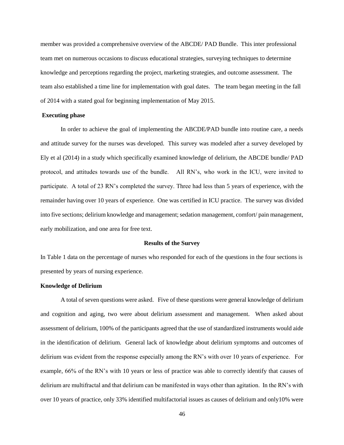member was provided a comprehensive overview of the ABCDE/ PAD Bundle. This inter professional team met on numerous occasions to discuss educational strategies, surveying techniques to determine knowledge and perceptions regarding the project, marketing strategies, and outcome assessment. The team also established a time line for implementation with goal dates. The team began meeting in the fall of 2014 with a stated goal for beginning implementation of May 2015.

## **Executing phase**

In order to achieve the goal of implementing the ABCDE/PAD bundle into routine care, a needs and attitude survey for the nurses was developed. This survey was modeled after a survey developed by Ely et al (2014) in a study which specifically examined knowledge of delirium, the ABCDE bundle/ PAD protocol, and attitudes towards use of the bundle. All RN's, who work in the ICU, were invited to participate. A total of 23 RN's completed the survey. Three had less than 5 years of experience, with the remainder having over 10 years of experience. One was certified in ICU practice. The survey was divided into five sections; delirium knowledge and management; sedation management, comfort/ pain management, early mobilization, and one area for free text.

#### **Results of the Survey**

In Table 1 data on the percentage of nurses who responded for each of the questions in the four sections is presented by years of nursing experience.

## **Knowledge of Delirium**

A total of seven questions were asked. Five of these questions were general knowledge of delirium and cognition and aging, two were about delirium assessment and management. When asked about assessment of delirium, 100% of the participants agreed that the use of standardized instruments would aide in the identification of delirium. General lack of knowledge about delirium symptoms and outcomes of delirium was evident from the response especially among the RN's with over 10 years of experience. For example, 66% of the RN's with 10 years or less of practice was able to correctly identify that causes of delirium are multifractal and that delirium can be manifested in ways other than agitation. In the RN's with over 10 years of practice, only 33% identified multifactorial issues as causes of delirium and only10% were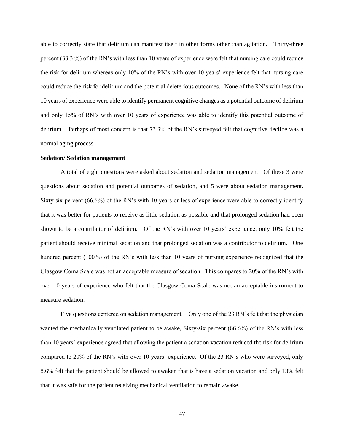able to correctly state that delirium can manifest itself in other forms other than agitation. Thirty-three percent (33.3 %) of the RN's with less than 10 years of experience were felt that nursing care could reduce the risk for delirium whereas only 10% of the RN's with over 10 years' experience felt that nursing care could reduce the risk for delirium and the potential deleterious outcomes. None of the RN's with less than 10 years of experience were able to identify permanent cognitive changes as a potential outcome of delirium and only 15% of RN's with over 10 years of experience was able to identify this potential outcome of delirium. Perhaps of most concern is that 73.3% of the RN's surveyed felt that cognitive decline was a normal aging process.

# **Sedation/ Sedation management**

A total of eight questions were asked about sedation and sedation management. Of these 3 were questions about sedation and potential outcomes of sedation, and 5 were about sedation management. Sixty-six percent (66.6%) of the RN's with 10 years or less of experience were able to correctly identify that it was better for patients to receive as little sedation as possible and that prolonged sedation had been shown to be a contributor of delirium. Of the RN's with over 10 years' experience, only 10% felt the patient should receive minimal sedation and that prolonged sedation was a contributor to delirium. One hundred percent (100%) of the RN's with less than 10 years of nursing experience recognized that the Glasgow Coma Scale was not an acceptable measure of sedation. This compares to 20% of the RN's with over 10 years of experience who felt that the Glasgow Coma Scale was not an acceptable instrument to measure sedation.

Five questions centered on sedation management. Only one of the 23 RN's felt that the physician wanted the mechanically ventilated patient to be awake, Sixty-six percent (66.6%) of the RN's with less than 10 years' experience agreed that allowing the patient a sedation vacation reduced the risk for delirium compared to 20% of the RN's with over 10 years' experience. Of the 23 RN's who were surveyed, only 8.6% felt that the patient should be allowed to awaken that is have a sedation vacation and only 13% felt that it was safe for the patient receiving mechanical ventilation to remain awake.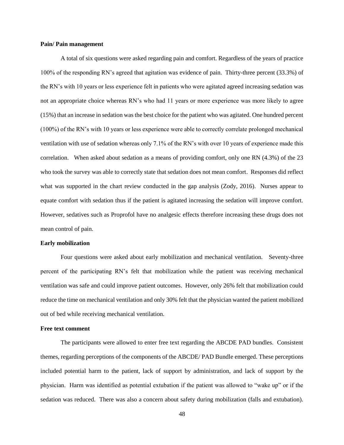## **Pain/ Pain management**

A total of six questions were asked regarding pain and comfort. Regardless of the years of practice 100% of the responding RN's agreed that agitation was evidence of pain. Thirty-three percent (33.3%) of the RN's with 10 years or less experience felt in patients who were agitated agreed increasing sedation was not an appropriate choice whereas RN's who had 11 years or more experience was more likely to agree (15%) that an increase in sedation was the best choice for the patient who was agitated. One hundred percent (100%) of the RN's with 10 years or less experience were able to correctly correlate prolonged mechanical ventilation with use of sedation whereas only 7.1% of the RN's with over 10 years of experience made this correlation. When asked about sedation as a means of providing comfort, only one RN (4.3%) of the 23 who took the survey was able to correctly state that sedation does not mean comfort. Responses did reflect what was supported in the chart review conducted in the gap analysis (Zody, 2016). Nurses appear to equate comfort with sedation thus if the patient is agitated increasing the sedation will improve comfort. However, sedatives such as Proprofol have no analgesic effects therefore increasing these drugs does not mean control of pain.

### **Early mobilization**

Four questions were asked about early mobilization and mechanical ventilation. Seventy-three percent of the participating RN's felt that mobilization while the patient was receiving mechanical ventilation was safe and could improve patient outcomes. However, only 26% felt that mobilization could reduce the time on mechanical ventilation and only 30% felt that the physician wanted the patient mobilized out of bed while receiving mechanical ventilation.

## **Free text comment**

The participants were allowed to enter free text regarding the ABCDE PAD bundles. Consistent themes, regarding perceptions of the components of the ABCDE/ PAD Bundle emerged. These perceptions included potential harm to the patient, lack of support by administration, and lack of support by the physician. Harm was identified as potential extubation if the patient was allowed to "wake up" or if the sedation was reduced. There was also a concern about safety during mobilization (falls and extubation).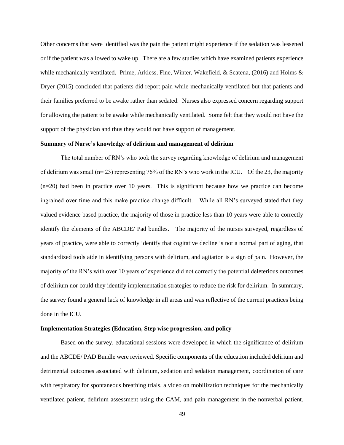Other concerns that were identified was the pain the patient might experience if the sedation was lessened or if the patient was allowed to wake up. There are a few studies which have examined patients experience while mechanically ventilated. Prime, Arkless, Fine, Winter, Wakefield, & Scatena, (2016) and Holms & Dryer (2015) concluded that patients did report pain while mechanically ventilated but that patients and their families preferred to be awake rather than sedated. Nurses also expressed concern regarding support for allowing the patient to be awake while mechanically ventilated. Some felt that they would not have the support of the physician and thus they would not have support of management.

## **Summary of Nurse's knowledge of delirium and management of delirium**

The total number of RN's who took the survey regarding knowledge of delirium and management of delirium was small ( $n= 23$ ) representing 76% of the RN's who work in the ICU. Of the 23, the majority (n=20) had been in practice over 10 years. This is significant because how we practice can become ingrained over time and this make practice change difficult. While all RN's surveyed stated that they valued evidence based practice, the majority of those in practice less than 10 years were able to correctly identify the elements of the ABCDE/ Pad bundles. The majority of the nurses surveyed, regardless of years of practice, were able to correctly identify that cogitative decline is not a normal part of aging, that standardized tools aide in identifying persons with delirium, and agitation is a sign of pain. However, the majority of the RN's with over 10 years of experience did not correctly the potential deleterious outcomes of delirium nor could they identify implementation strategies to reduce the risk for delirium. In summary, the survey found a general lack of knowledge in all areas and was reflective of the current practices being done in the ICU.

#### **Implementation Strategies (Education, Step wise progression, and policy**

Based on the survey, educational sessions were developed in which the significance of delirium and the ABCDE/ PAD Bundle were reviewed. Specific components of the education included delirium and detrimental outcomes associated with delirium, sedation and sedation management, coordination of care with respiratory for spontaneous breathing trials, a video on mobilization techniques for the mechanically ventilated patient, delirium assessment using the CAM, and pain management in the nonverbal patient.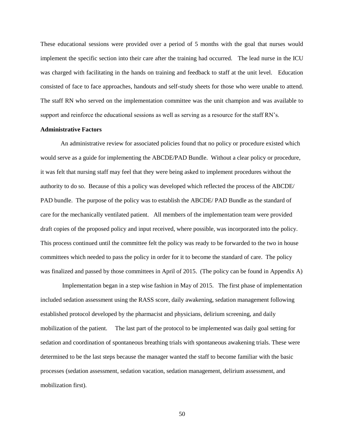These educational sessions were provided over a period of 5 months with the goal that nurses would implement the specific section into their care after the training had occurred. The lead nurse in the ICU was charged with facilitating in the hands on training and feedback to staff at the unit level. Education consisted of face to face approaches, handouts and self-study sheets for those who were unable to attend. The staff RN who served on the implementation committee was the unit champion and was available to support and reinforce the educational sessions as well as serving as a resource for the staff RN's.

## **Administrative Factors**

An administrative review for associated policies found that no policy or procedure existed which would serve as a guide for implementing the ABCDE/PAD Bundle. Without a clear policy or procedure, it was felt that nursing staff may feel that they were being asked to implement procedures without the authority to do so. Because of this a policy was developed which reflected the process of the ABCDE/ PAD bundle. The purpose of the policy was to establish the ABCDE/ PAD Bundle as the standard of care for the mechanically ventilated patient. All members of the implementation team were provided draft copies of the proposed policy and input received, where possible, was incorporated into the policy. This process continued until the committee felt the policy was ready to be forwarded to the two in house committees which needed to pass the policy in order for it to become the standard of care. The policy was finalized and passed by those committees in April of 2015. (The policy can be found in Appendix A)

Implementation began in a step wise fashion in May of 2015. The first phase of implementation included sedation assessment using the RASS score, daily awakening, sedation management following established protocol developed by the pharmacist and physicians, delirium screening, and daily mobilization of the patient. The last part of the protocol to be implemented was daily goal setting for sedation and coordination of spontaneous breathing trials with spontaneous awakening trials. These were determined to be the last steps because the manager wanted the staff to become familiar with the basic processes (sedation assessment, sedation vacation, sedation management, delirium assessment, and mobilization first).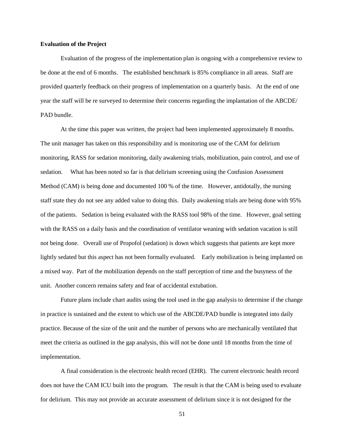## **Evaluation of the Project**

Evaluation of the progress of the implementation plan is ongoing with a comprehensive review to be done at the end of 6 months. The established benchmark is 85% compliance in all areas. Staff are provided quarterly feedback on their progress of implementation on a quarterly basis. At the end of one year the staff will be re surveyed to determine their concerns regarding the implantation of the ABCDE/ PAD bundle.

At the time this paper was written, the project had been implemented approximately 8 months. The unit manager has taken on this responsibility and is monitoring use of the CAM for delirium monitoring, RASS for sedation monitoring, daily awakening trials, mobilization, pain control, and use of sedation. What has been noted so far is that delirium screening using the Confusion Assessment Method (CAM) is being done and documented 100 % of the time. However, antidotally, the nursing staff state they do not see any added value to doing this. Daily awakening trials are being done with 95% of the patients. Sedation is being evaluated with the RASS tool 98% of the time. However, goal setting with the RASS on a daily basis and the coordination of ventilator weaning with sedation vacation is still not being done. Overall use of Propofol (sedation) is down which suggests that patients are kept more lightly sedated but this aspect has not been formally evaluated. Early mobilization is being implanted on a mixed way. Part of the mobilization depends on the staff perception of time and the busyness of the unit. Another concern remains safety and fear of accidental extubation.

Future plans include chart audits using the tool used in the gap analysis to determine if the change in practice is sustained and the extent to which use of the ABCDE/PAD bundle is integrated into daily practice. Because of the size of the unit and the number of persons who are mechanically ventilated that meet the criteria as outlined in the gap analysis, this will not be done until 18 months from the time of implementation.

A final consideration is the electronic health record (EHR). The current electronic health record does not have the CAM ICU built into the program. The result is that the CAM is being used to evaluate for delirium. This may not provide an accurate assessment of delirium since it is not designed for the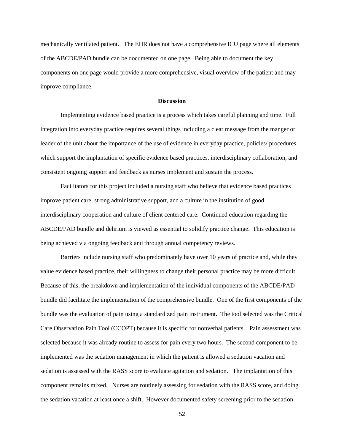mechanically ventilated patient. The EHR does not have a comprehensive ICU page where all elements of the ABCDE/PAD bundle can be documented on one page. Being able to document the key components on one page would provide a more comprehensive, visual overview of the patient and may improve compliance.

#### **Discussion**

Implementing evidence based practice is a process which takes careful planning and time. Full integration into everyday practice requires several things including a clear message from the manger or leader of the unit about the importance of the use of evidence in everyday practice, policies/ procedures which support the implantation of specific evidence based practices, interdisciplinary collaboration, and consistent ongoing support and feedback as nurses implement and sustain the process.

Facilitators for this project included a nursing staff who believe that evidence based practices improve patient care, strong administrative support, and a culture in the institution of good interdisciplinary cooperation and culture of client centered care. Continued education regarding the ABCDE/PAD bundle and delirium is viewed as essential to solidify practice change. This education is being achieved via ongoing feedback and through annual competency reviews.

Barriers include nursing staff who predominately have over 10 years of practice and, while they value evidence based practice, their willingness to change their personal practice may be more difficult. Because of this, the breakdown and implementation of the individual components of the ABCDE/PAD bundle did facilitate the implementation of the comprehensive bundle. One of the first components of the bundle was the evaluation of pain using a standardized pain instrument. The tool selected was the Critical Care Observation Pain Tool (CCOPT) because it is specific for nonverbal patients. Pain assessment was selected because it was already routine to assess for pain every two hours. The second component to be implemented was the sedation management in which the patient is allowed a sedation vacation and sedation is assessed with the RASS score to evaluate agitation and sedation. The implantation of this component remains mixed. Nurses are routinely assessing for sedation with the RASS score, and doing the sedation vacation at least once a shift. However documented safety screening prior to the sedation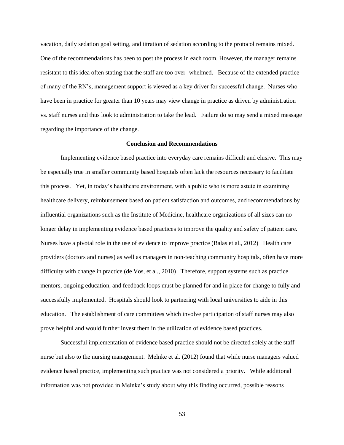vacation, daily sedation goal setting, and titration of sedation according to the protocol remains mixed. One of the recommendations has been to post the process in each room. However, the manager remains resistant to this idea often stating that the staff are too over- whelmed. Because of the extended practice of many of the RN's, management support is viewed as a key driver for successful change. Nurses who have been in practice for greater than 10 years may view change in practice as driven by administration vs. staff nurses and thus look to administration to take the lead. Failure do so may send a mixed message regarding the importance of the change.

## **Conclusion and Recommendations**

Implementing evidence based practice into everyday care remains difficult and elusive. This may be especially true in smaller community based hospitals often lack the resources necessary to facilitate this process. Yet, in today's healthcare environment, with a public who is more astute in examining healthcare delivery, reimbursement based on patient satisfaction and outcomes, and recommendations by influential organizations such as the Institute of Medicine, healthcare organizations of all sizes can no longer delay in implementing evidence based practices to improve the quality and safety of patient care. Nurses have a pivotal role in the use of evidence to improve practice (Balas et al., 2012) Health care providers (doctors and nurses) as well as managers in non-teaching community hospitals, often have more difficulty with change in practice (de Vos, et al., 2010) Therefore, support systems such as practice mentors, ongoing education, and feedback loops must be planned for and in place for change to fully and successfully implemented. Hospitals should look to partnering with local universities to aide in this education. The establishment of care committees which involve participation of staff nurses may also prove helpful and would further invest them in the utilization of evidence based practices.

Successful implementation of evidence based practice should not be directed solely at the staff nurse but also to the nursing management. Melnke et al. (2012) found that while nurse managers valued evidence based practice, implementing such practice was not considered a priority. While additional information was not provided in Melnke's study about why this finding occurred, possible reasons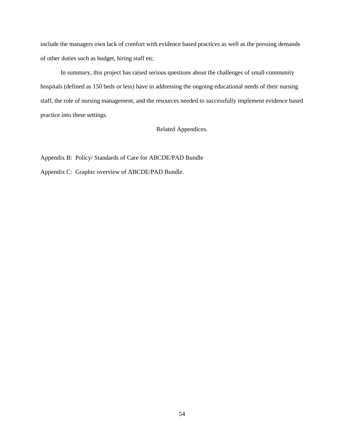include the managers own lack of comfort with evidence based practices as well as the pressing demands of other duties such as budget, hiring staff etc.

In summary, this project has raised serious questions about the challenges of small community hospitals (defined as 150 beds or less) have in addressing the ongoing educational needs of their nursing staff, the role of nursing management, and the resources needed to successfully implement evidence based practice into these settings.

Related Appendices.

Appendix B: Policy/ Standards of Care for ABCDE/PAD Bundle Appendix C: Graphic overview of ABCDE/PAD Bundle.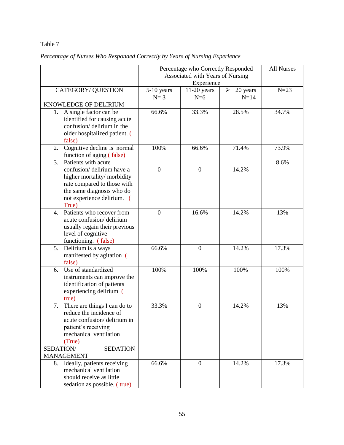|                                               | Percentage who Correctly Responded | <b>All Nurses</b> |                                   |        |
|-----------------------------------------------|------------------------------------|-------------------|-----------------------------------|--------|
|                                               | Associated with Years of Nursing   |                   |                                   |        |
|                                               |                                    |                   |                                   |        |
| <b>CATEGORY/ QUESTION</b>                     | 5-10 years                         | $11-20$ years     | 20 years<br>$\blacktriangleright$ | $N=23$ |
|                                               | $N=3$                              | $N=6$             | $N=14$                            |        |
| KNOWLEDGE OF DELIRIUM                         |                                    |                   |                                   |        |
| A single factor can be<br>1.                  | 66.6%                              | 33.3%             | 28.5%                             | 34.7%  |
| identified for causing acute                  |                                    |                   |                                   |        |
| confusion/ delirium in the                    |                                    |                   |                                   |        |
| older hospitalized patient. (                 |                                    |                   |                                   |        |
| false)<br>Cognitive decline is normal<br>2.   | 100%                               | 66.6%             | 71.4%                             | 73.9%  |
| function of aging (false)                     |                                    |                   |                                   |        |
| 3.<br>Patients with acute                     |                                    |                   |                                   | 8.6%   |
| confusion/ delirium have a                    | $\overline{0}$                     | $\boldsymbol{0}$  | 14.2%                             |        |
| higher mortality/morbidity                    |                                    |                   |                                   |        |
| rate compared to those with                   |                                    |                   |                                   |        |
| the same diagnosis who do                     |                                    |                   |                                   |        |
| not experience delirium. (                    |                                    |                   |                                   |        |
| True)                                         |                                    |                   |                                   |        |
| Patients who recover from<br>4.               | $\overline{0}$                     | 16.6%             | 14.2%                             | 13%    |
| acute confusion/delirium                      |                                    |                   |                                   |        |
| usually regain their previous                 |                                    |                   |                                   |        |
| level of cognitive<br>functioning. (false)    |                                    |                   |                                   |        |
| Delirium is always<br>5.                      | 66.6%                              | $\overline{0}$    | 14.2%                             | 17.3%  |
| manifested by agitation (                     |                                    |                   |                                   |        |
| false)                                        |                                    |                   |                                   |        |
| Use of standardized<br>6.                     | 100%                               | 100%              | 100%                              | 100%   |
| instruments can improve the                   |                                    |                   |                                   |        |
| identification of patients                    |                                    |                   |                                   |        |
| experiencing delirium (                       |                                    |                   |                                   |        |
| true)                                         |                                    |                   |                                   |        |
| 7.<br>There are things I can do to            | 33.3%                              | $\mathbf{0}$      | 14.2%                             | 13%    |
| reduce the incidence of                       |                                    |                   |                                   |        |
| acute confusion/delirium in                   |                                    |                   |                                   |        |
| patient's receiving<br>mechanical ventilation |                                    |                   |                                   |        |
| (True)                                        |                                    |                   |                                   |        |
| <b>SEDATION</b><br>SEDATION/                  |                                    |                   |                                   |        |
| <b>MANAGEMENT</b>                             |                                    |                   |                                   |        |
| Ideally, patients receiving<br>8.             | 66.6%                              | $\overline{0}$    | 14.2%                             | 17.3%  |
| mechanical ventilation                        |                                    |                   |                                   |        |
| should receive as little                      |                                    |                   |                                   |        |
| sedation as possible. (true)                  |                                    |                   |                                   |        |

# *Percentage of Nurses Who Responded Correctly by Years of Nursing Experience*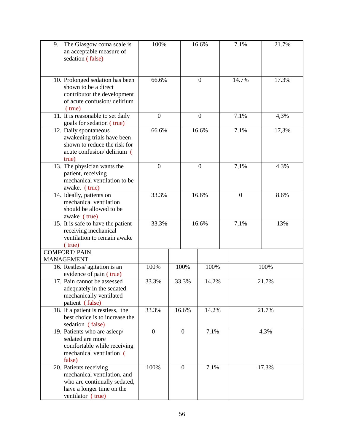| 9.<br>The Glasgow coma scale is<br>an acceptable measure of<br>sedation (false)                                                          | 100%             |                | 16.6%            | 7.1%             | 21.7% |
|------------------------------------------------------------------------------------------------------------------------------------------|------------------|----------------|------------------|------------------|-------|
| 10. Prolonged sedation has been<br>shown to be a direct<br>contributor the development<br>of acute confusion/delirium<br>$(\text{true})$ | 66.6%            |                | $\overline{0}$   | 14.7%            | 17.3% |
| 11. It is reasonable to set daily<br>goals for sedation (true)                                                                           | $\boldsymbol{0}$ |                | $\mathbf{0}$     | 7.1%             | 4,3%  |
| 12. Daily spontaneous<br>awakening trials have been<br>shown to reduce the risk for<br>acute confusion/delirium (<br>true)               | 66.6%            |                | 16.6%            | 7.1%             | 17,3% |
| 13. The physician wants the<br>patient, receiving<br>mechanical ventilation to be<br>awake. (true)                                       | $\boldsymbol{0}$ |                | $\boldsymbol{0}$ | 7,1%             | 4.3%  |
| 14. Ideally, patients on<br>mechanical ventilation<br>should be allowed to be<br>awake (true)                                            | 33.3%            |                | 16.6%            | $\boldsymbol{0}$ | 8.6%  |
| 15. It is safe to have the patient<br>receiving mechanical<br>ventilation to remain awake<br>$(\text{true})$                             | 33.3%            |                | 16.6%            | 7,1%             | 13%   |
| <b>COMFORT/PAIN</b><br><b>MANAGEMENT</b>                                                                                                 |                  |                |                  |                  |       |
| 16. Restless/agitation is an<br>evidence of pain (true)                                                                                  | 100%             | 100%           | 100%             |                  | 100%  |
| 17. Pain cannot be assessed<br>adequately in the sedated<br>mechanically ventilated<br>patient (false)                                   | 33.3%            | 33.3%          | 14.2%            |                  | 21.7% |
| 18. If a patient is restless, the<br>best choice is to increase the<br>sedation (false)                                                  | 33.3%            | 16.6%          | 14.2%            |                  | 21.7% |
| 19. Patients who are asleep/<br>sedated are more<br>comfortable while receiving<br>mechanical ventilation (<br>false)                    | $\boldsymbol{0}$ | $\overline{0}$ | 7.1%             |                  | 4,3%  |
| 20. Patients receiving<br>mechanical ventilation, and<br>who are continually sedated,<br>have a longer time on the<br>ventilator (true)  | 100%             | $\overline{0}$ | 7.1%             |                  | 17.3% |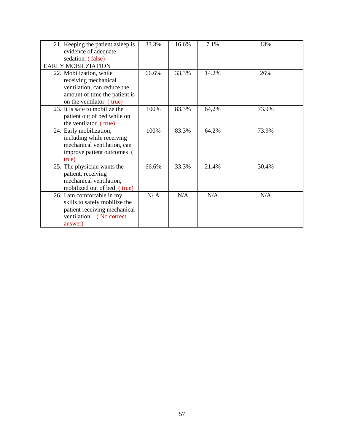| 21. Keeping the patient asleep is<br>evidence of adequate<br>sedation. (false)                                                              | 33.3% | 16.6% | 7.1%  | 13%   |
|---------------------------------------------------------------------------------------------------------------------------------------------|-------|-------|-------|-------|
| <b>EARLY MOBILZIATION</b>                                                                                                                   |       |       |       |       |
| 22. Mobilization, while<br>receiving mechanical<br>ventilation, can reduce the<br>amount of time the patient is<br>on the ventilator (true) | 66.6% | 33.3% | 14.2% | 26%   |
| 23. It is safe to mobilize the<br>patient out of bed while on<br>the ventilator (true)                                                      | 100%  | 83.3% | 64,2% | 73.9% |
| 24. Early mobilization,<br>including while receiving<br>mechanical ventilation, can<br>improve patient outcomes (<br>true)                  | 100%  | 83.3% | 64.2% | 73.9% |
| 25. The physician wants the<br>patient, receiving<br>mechanical ventilation,<br>mobilized out of bed (true)                                 | 66.6% | 33.3% | 21.4% | 30.4% |
| 26. I am comfortable in my<br>skills to safely mobilize the<br>patient receiving mechanical<br>ventilation. (No correct<br>answer)          | N/A   | N/A   | N/A   | N/A   |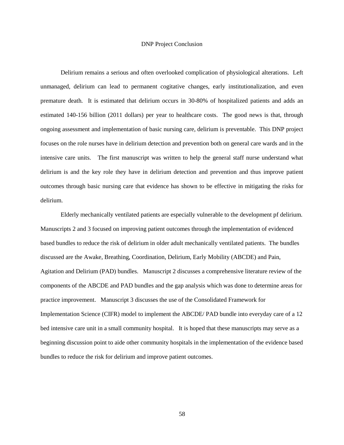### DNP Project Conclusion

Delirium remains a serious and often overlooked complication of physiological alterations. Left unmanaged, delirium can lead to permanent cogitative changes, early institutionalization, and even premature death. It is estimated that delirium occurs in 30-80% of hospitalized patients and adds an estimated 140-156 billion (2011 dollars) per year to healthcare costs. The good news is that, through ongoing assessment and implementation of basic nursing care, delirium is preventable. This DNP project focuses on the role nurses have in delirium detection and prevention both on general care wards and in the intensive care units. The first manuscript was written to help the general staff nurse understand what delirium is and the key role they have in delirium detection and prevention and thus improve patient outcomes through basic nursing care that evidence has shown to be effective in mitigating the risks for delirium.

Elderly mechanically ventilated patients are especially vulnerable to the development pf delirium. Manuscripts 2 and 3 focused on improving patient outcomes through the implementation of evidenced based bundles to reduce the risk of delirium in older adult mechanically ventilated patients. The bundles discussed are the Awake, Breathing, Coordination, Delirium, Early Mobility (ABCDE) and Pain, Agitation and Delirium (PAD) bundles. Manuscript 2 discusses a comprehensive literature review of the components of the ABCDE and PAD bundles and the gap analysis which was done to determine areas for practice improvement. Manuscript 3 discusses the use of the Consolidated Framework for Implementation Science (CIFR) model to implement the ABCDE/ PAD bundle into everyday care of a 12 bed intensive care unit in a small community hospital. It is hoped that these manuscripts may serve as a beginning discussion point to aide other community hospitals in the implementation of the evidence based bundles to reduce the risk for delirium and improve patient outcomes.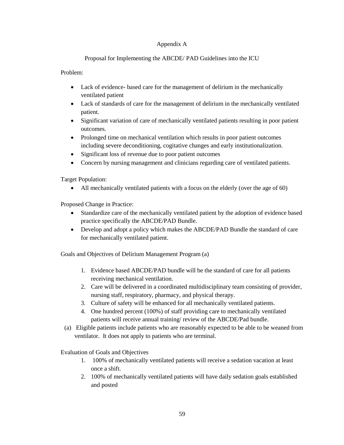# Appendix A

# Proposal for Implementing the ABCDE/ PAD Guidelines into the ICU

Problem:

- Lack of evidence- based care for the management of delirium in the mechanically ventilated patient
- Lack of standards of care for the management of delirium in the mechanically ventilated patient.
- Significant variation of care of mechanically ventilated patients resulting in poor patient outcomes.
- Prolonged time on mechanical ventilation which results in poor patient outcomes including severe deconditioning, cogitative changes and early institutionalization.
- Significant loss of revenue due to poor patient outcomes
- Concern by nursing management and clinicians regarding care of ventilated patients.

Target Population:

All mechanically ventilated patients with a focus on the elderly (over the age of 60)

Proposed Change in Practice:

- Standardize care of the mechanically ventilated patient by the adoption of evidence based practice specifically the ABCDE/PAD Bundle.
- Develop and adopt a policy which makes the ABCDE/PAD Bundle the standard of care for mechanically ventilated patient.

Goals and Objectives of Delirium Management Program (a)

- 1. Evidence based ABCDE/PAD bundle will be the standard of care for all patients receiving mechanical ventilation.
- 2. Care will be delivered in a coordinated multidisciplinary team consisting of provider, nursing staff, respiratory, pharmacy, and physical therapy.
- 3. Culture of safety will be enhanced for all mechanically ventilated patients.
- 4. One hundred percent (100%) of staff providing care to mechanically ventilated patients will receive annual training/ review of the ABCDE/Pad bundle.
- (a) Eligible patients include patients who are reasonably expected to be able to be weaned from ventilator. It does not apply to patients who are terminal.

Evaluation of Goals and Objectives

- 1. 100% of mechanically ventilated patients will receive a sedation vacation at least once a shift.
- 2. 100% of mechanically ventilated patients will have daily sedation goals established and posted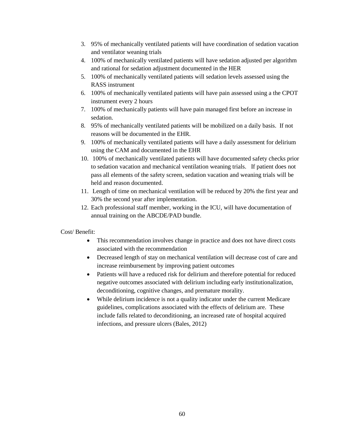- 3. 95% of mechanically ventilated patients will have coordination of sedation vacation and ventilator weaning trials
- 4. 100% of mechanically ventilated patients will have sedation adjusted per algorithm and rational for sedation adjustment documented in the HER
- 5. 100% of mechanically ventilated patients will sedation levels assessed using the RASS instrument
- 6. 100% of mechanically ventilated patients will have pain assessed using a the CPOT instrument every 2 hours
- 7. 100% of mechanically patients will have pain managed first before an increase in sedation.
- 8. 95% of mechanically ventilated patients will be mobilized on a daily basis. If not reasons will be documented in the EHR.
- 9. 100% of mechanically ventilated patients will have a daily assessment for delirium using the CAM and documented in the EHR
- 10. 100% of mechanically ventilated patients will have documented safety checks prior to sedation vacation and mechanical ventilation weaning trials. If patient does not pass all elements of the safety screen, sedation vacation and weaning trials will be held and reason documented.
- 11. Length of time on mechanical ventilation will be reduced by 20% the first year and 30% the second year after implementation.
- 12. Each professional staff member, working in the ICU, will have documentation of annual training on the ABCDE/PAD bundle.

Cost/ Benefit:

- This recommendation involves change in practice and does not have direct costs associated with the recommendation
- Decreased length of stay on mechanical ventilation will decrease cost of care and increase reimbursement by improving patient outcomes
- Patients will have a reduced risk for delirium and therefore potential for reduced negative outcomes associated with delirium including early institutionalization, deconditioning, cognitive changes, and premature morality.
- While delirium incidence is not a quality indicator under the current Medicare guidelines, complications associated with the effects of delirium are. These include falls related to deconditioning, an increased rate of hospital acquired infections, and pressure ulcers (Bales, 2012)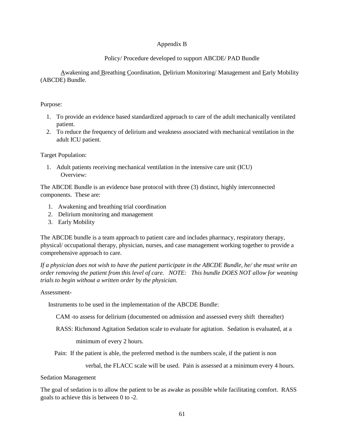# Appendix B

# Policy/ Procedure developed to support ABCDE/ PAD Bundle

Awakening and Breathing Coordination, Delirium Monitoring/ Management and Early Mobility (ABCDE) Bundle.

# Purpose:

- 1. To provide an evidence based standardized approach to care of the adult mechanically ventilated patient.
- 2. To reduce the frequency of delirium and weakness associated with mechanical ventilation in the adult ICU patient.

# Target Population:

1. Adult patients receiving mechanical ventilation in the intensive care unit (ICU) Overview:

The ABCDE Bundle is an evidence base protocol with three (3) distinct, highly interconnected components. These are:

- 1. Awakening and breathing trial coordination
- 2. Delirium monitoring and management
- 3. Early Mobility

The ABCDE bundle is a team approach to patient care and includes pharmacy, respiratory therapy, physical/ occupational therapy, physician, nurses, and case management working together to provide a comprehensive approach to care.

*If a physician does not wish to have the patient participate in the ABCDE Bundle, he/ she must write an order removing the patient from this level of care. NOTE: This bundle DOES NOT allow for weaning trials to begin without a written order by the physician.*

# Assessment-

Instruments to be used in the implementation of the ABCDE Bundle:

CAM -to assess for delirium (documented on admission and assessed every shift thereafter)

RASS: Richmond Agitation Sedation scale to evaluate for agitation. Sedation is evaluated, at a

minimum of every 2 hours.

Pain: If the patient is able, the preferred method is the numbers scale, if the patient is non

verbal, the FLACC scale will be used. Pain is assessed at a minimum every 4 hours.

## Sedation Management

The goal of sedation is to allow the patient to be as awake as possible while facilitating comfort. RASS goals to achieve this is between 0 to -2.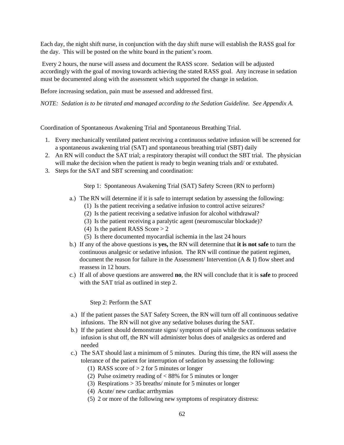Each day, the night shift nurse, in conjunction with the day shift nurse will establish the RASS goal for the day. This will be posted on the white board in the patient's room.

Every 2 hours, the nurse will assess and document the RASS score. Sedation will be adjusted accordingly with the goal of moving towards achieving the stated RASS goal. Any increase in sedation must be documented along with the assessment which supported the change in sedation.

Before increasing sedation, pain must be assessed and addressed first.

*NOTE: Sedation is to be titrated and managed according to the Sedation Guideline. See Appendix A.*

Coordination of Spontaneous Awakening Trial and Spontaneous Breathing Trial*.* 

- 1. Every mechanically ventilated patient receiving a continuous sedative infusion will be screened for a spontaneous awakening trial (SAT) and spontaneous breathing trial (SBT) daily
- 2. An RN will conduct the SAT trial; a respiratory therapist will conduct the SBT trial. The physician will make the decision when the patient is ready to begin weaning trials and/ or extubated.
- 3. Steps for the SAT and SBT screening and coordination:

Step 1: Spontaneous Awakening Trial (SAT) Safety Screen (RN to perform)

- a.) The RN will determine if it is safe to interrupt sedation by assessing the following:
	- (1) Is the patient receiving a sedative infusion to control active seizures?
	- (2) Is the patient receiving a sedative infusion for alcohol withdrawal?
	- (3) Is the patient receiving a paralytic agent (neuromuscular blockade)?
	- (4) Is the patient RASS Score > 2
	- (5) Is there documented myocardial ischemia in the last 24 hours
- b.) If any of the above questions is **yes,** the RN will determine that **it is not safe** to turn the continuous analgesic or sedative infusion. The RN will continue the patient regimen, document the reason for failure in the Assessment/ Intervention  $(A \& I)$  flow sheet and reassess in 12 hours.
- c.) If all of above questions are answered **no**, the RN will conclude that it is **safe** to proceed with the SAT trial as outlined in step 2.

## Step 2: Perform the SAT

- a.) If the patient passes the SAT Safety Screen, the RN will turn off all continuous sedative infusions. The RN will not give any sedative boluses during the SAT.
- b.) If the patient should demonstrate signs/ symptom of pain while the continuous sedative infusion is shut off, the RN will administer bolus does of analgesics as ordered and needed
- c.) The SAT should last a minimum of 5 minutes. During this time, the RN will assess the tolerance of the patient for interruption of sedation by assessing the following:
	- (1) RASS score of  $> 2$  for 5 minutes or longer
	- (2) Pulse oximetry reading of < 88% for 5 minutes or longer
	- (3) Respirations > 35 breaths/ minute for 5 minutes or longer
	- (4) Acute/ new cardiac arrthymias
	- (5) 2 or more of the following new symptoms of respiratory distress: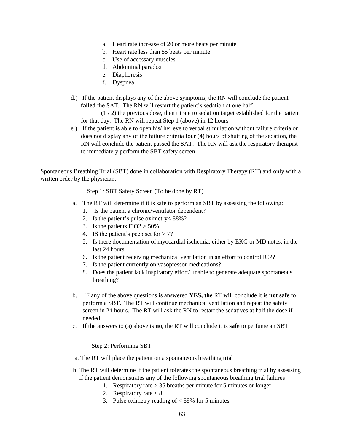- a. Heart rate increase of 20 or more beats per minute
- b. Heart rate less than 55 beats per minute
- c. Use of accessary muscles
- d. Abdominal paradox
- e. Diaphoresis
- f. Dyspnea
- d.) If the patient displays any of the above symptoms, the RN will conclude the patient failed the SAT. The RN will restart the patient's sedation at one half

(1 / 2) the previous dose, then titrate to sedation target established for the patient for that day. The RN will repeat Step 1 (above) in 12 hours

e.) If the patient is able to open his/ her eye to verbal stimulation without failure criteria or does not display any of the failure criteria four (4) hours of shutting of the sedation, the RN will conclude the patient passed the SAT. The RN will ask the respiratory therapist to immediately perform the SBT safety screen

Spontaneous Breathing Trial (SBT) done in collaboration with Respiratory Therapy (RT) and only with a written order by the physician.

Step 1: SBT Safety Screen (To be done by RT)

- a. The RT will determine if it is safe to perform an SBT by assessing the following:
	- 1. Is the patient a chronic/ventilator dependent?
	- 2. Is the patient's pulse oximetry< 88%?
	- 3. Is the patients  $FiO2 > 50\%$
	- 4. IS the patient's peep set for  $> 7$ ?
	- 5. Is there documentation of myocardial ischemia, either by EKG or MD notes, in the last 24 hours
	- 6. Is the patient receiving mechanical ventilation in an effort to control ICP?
	- 7. Is the patient currently on vasopressor medications?
	- 8. Does the patient lack inspiratory effort/ unable to generate adequate spontaneous breathing?
- b. IF any of the above questions is answered **YES, the** RT will conclude it is **not safe** to perform a SBT. The RT will continue mechanical ventilation and repeat the safety screen in 24 hours. The RT will ask the RN to restart the sedatives at half the dose if needed.
- c. If the answers to (a) above is **no**, the RT will conclude it is **safe** to perfume an SBT.

## Step 2: Performing SBT

- a. The RT will place the patient on a spontaneous breathing trial
- b. The RT will determine if the patient tolerates the spontaneous breathing trial by assessing if the patient demonstrates any of the following spontaneous breathing trial failures
	- 1. Respiratory rate > 35 breaths per minute for 5 minutes or longer
	- 2. Respiratory rate < 8
	- 3. Pulse oximetry reading of < 88% for 5 minutes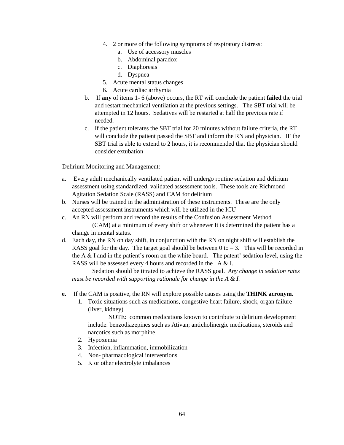- 4. 2 or more of the following symptoms of respiratory distress:
	- a. Use of accessory muscles
	- b. Abdominal paradox
	- c. Diaphoresis
	- d. Dyspnea
- 5. Acute mental status changes
- 6. Acute cardiac arrhymia
- b. If **any** of items 1- 6 (above) occurs, the RT will conclude the patient **failed** the trial and restart mechanical ventilation at the previous settings. The SBT trial will be attempted in 12 hours. Sedatives will be restarted at half the previous rate if needed.
- c. If the patient tolerates the SBT trial for 20 minutes without failure criteria, the RT will conclude the patient passed the SBT and inform the RN and physician. IF the SBT trial is able to extend to 2 hours, it is recommended that the physician should consider extubation

Delirium Monitoring and Management:

- a. Every adult mechanically ventilated patient will undergo routine sedation and delirium assessment using standardized, validated assessment tools. These tools are Richmond Agitation Sedation Scale (RASS) and CAM for delirium
- b. Nurses will be trained in the administration of these instruments. These are the only accepted assessment instruments which will be utilized in the ICU
- c. An RN will perform and record the results of the Confusion Assessment Method (CAM) at a minimum of every shift or whenever It is determined the patient has a change in mental status.
- d. Each day, the RN on day shift, in conjunction with the RN on night shift will establish the RASS goal for the day. The target goal should be between  $0$  to  $-3$ . This will be recorded in the A  $\&$  I and in the patient's room on the white board. The patent' sedation level, using the RASS will be assessed every 4 hours and recorded in the A & I.

Sedation should be titrated to achieve the RASS goal. *Any change in sedation rates must be recorded with supporting rationale for change in the A & I.*

- **e.** If the CAM is positive, the RN will explore possible causes using the **THINK acronym.**
	- 1. Toxic situations such as medications, congestive heart failure, shock, organ failure (liver, kidney)

NOTE: common medications known to contribute to delirium development include: benzodiazepines such as Ativan; anticholinergic medications, steroids and narcotics such as morphine.

- 2. Hypoxemia
- 3. Infection, inflammation, immobilization
- 4. Non- pharmacological interventions
- 5. K or other electrolyte imbalances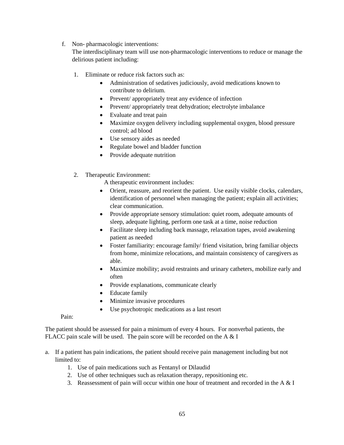f. Non- pharmacologic interventions:

The interdisciplinary team will use non-pharmacologic interventions to reduce or manage the delirious patient including:

- 1. Eliminate or reduce risk factors such as:
	- Administration of sedatives judiciously, avoid medications known to contribute to delirium.
	- Prevent/ appropriately treat any evidence of infection
	- Prevent/ appropriately treat dehydration; electrolyte imbalance
	- Evaluate and treat pain
	- Maximize oxygen delivery including supplemental oxygen, blood pressure control; ad blood
	- Use sensory aides as needed
	- Regulate bowel and bladder function
	- Provide adequate nutrition
- 2. Therapeutic Environment:

A therapeutic environment includes:

- Orient, reassure, and reorient the patient. Use easily visible clocks, calendars, identification of personnel when managing the patient; explain all activities; clear communication.
- Provide appropriate sensory stimulation: quiet room, adequate amounts of sleep, adequate lighting, perform one task at a time, noise reduction
- Facilitate sleep including back massage, relaxation tapes, avoid awakening patient as needed
- Foster familiarity: encourage family/ friend visitation, bring familiar objects from home, minimize relocations, and maintain consistency of caregivers as able.
- Maximize mobility; avoid restraints and urinary catheters, mobilize early and often
- Provide explanations, communicate clearly
- Educate family
- Minimize invasive procedures
- Use psychotropic medications as a last resort

# Pain:

The patient should be assessed for pain a minimum of every 4 hours. For nonverbal patients, the FLACC pain scale will be used. The pain score will be recorded on the A & I

- a. If a patient has pain indications, the patient should receive pain management including but not limited to:
	- 1. Use of pain medications such as Fentanyl or Dilaudid
	- 2. Use of other techniques such as relaxation therapy, repositioning etc.
	- 3. Reassessment of pain will occur within one hour of treatment and recorded in the A  $&$  I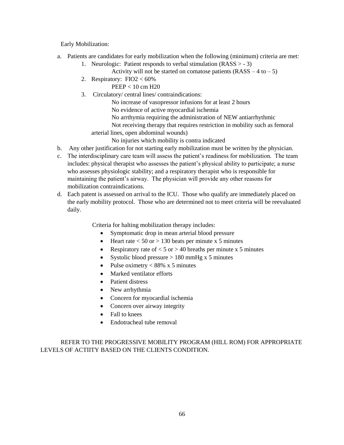Early Mobilization:

- a. Patients are candidates for early mobilization when the following (minimum) criteria are met:
	- 1. Neurologic: Patient responds to verbal stimulation  $(RASS > -3)$ 
		- Activity will not be started on comatose patients  $(RASS 4 to -5)$
	- 2. Respiratory: FIO2 < 60%
		- PEEP < 10 cm H20
	- 3. Circulatory/ central lines/ contraindications:
		- No increase of vasopressor infusions for at least 2 hours
		- No evidence of active myocardial ischemia
		- No arrthymia requiring the administration of NEW antiarrhythmic
		- Not receiving therapy that requires restriction in mobility such as femoral
		- arterial lines, open abdominal wounds)
			- No injuries which mobility is contra indicated
- b. Any other justification for not starting early mobilization must be written by the physician.
- c. The interdisciplinary care team will assess the patient's readiness for mobilization. The team includes: physical therapist who assesses the patient's physical ability to participate; a nurse who assesses physiologic stability; and a respiratory therapist who is responsible for maintaining the patient's airway. The physician will provide any other reasons for mobilization contraindications.
- d. Each patent is assessed on arrival to the ICU. Those who qualify are immediately placed on the early mobility protocol. Those who are determined not to meet criteria will be reevaluated daily.

Criteria for halting mobilization therapy includes:

- Symptomatic drop in mean arterial blood pressure
- Heart rate  $< 50$  or  $> 130$  beats per minute x 5 minutes
- Respiratory rate of  $< 5$  or  $> 40$  breaths per minute x 5 minutes
- Systolic blood pressure  $> 180$  mmHg x 5 minutes
- Pulse oximetry  $< 88\% \times 5$  minutes
- Marked ventilator efforts
- Patient distress
- New arrhythmia
- Concern for myocardial ischemia
- Concern over airway integrity
- Fall to knees
- Endotracheal tube removal

# REFER TO THE PROGRESSIVE MOBILITY PROGRAM (HILL ROM) FOR APPROPRIATE LEVELS OF ACTIITY BASED ON THE CLIENTS CONDITION.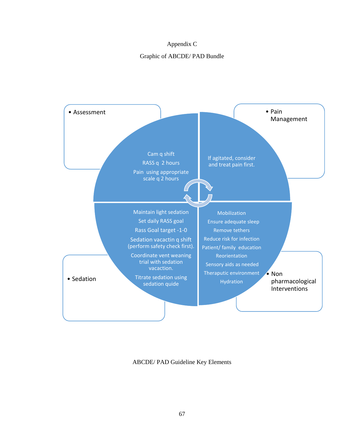## Appendix C

## Graphic of ABCDE/ PAD Bundle



ABCDE/ PAD Guideline Key Elements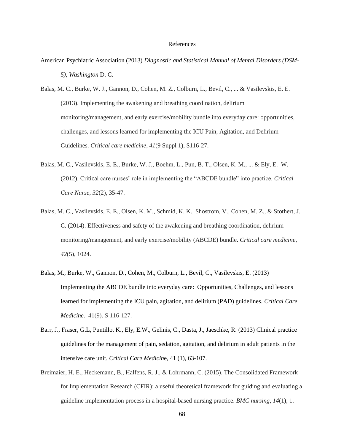## References

- American Psychiatric Association (2013) *Diagnostic and Statistical Manual of Mental Disorders (DSM-5), Washington* D. C.
- Balas, M. C., Burke, W. J., Gannon, D., Cohen, M. Z., Colburn, L., Bevil, C., ... & Vasilevskis, E. E. (2013). Implementing the awakening and breathing coordination, delirium monitoring/management, and early exercise/mobility bundle into everyday care: opportunities, challenges, and lessons learned for implementing the ICU Pain, Agitation, and Delirium Guidelines. *Critical care medicine*, *41*(9 Suppl 1), S116-27.
- Balas, M. C., Vasilevskis, E. E., Burke, W. J., Boehm, L., Pun, B. T., Olsen, K. M., ... & Ely, E. W. (2012). Critical care nurses' role in implementing the "ABCDE bundle" into practice. *Critical Care Nurse*, *32*(2), 35-47.
- Balas, M. C., Vasilevskis, E. E., Olsen, K. M., Schmid, K. K., Shostrom, V., Cohen, M. Z., & Stothert, J. C. (2014). Effectiveness and safety of the awakening and breathing coordination, delirium monitoring/management, and early exercise/mobility (ABCDE) bundle. *Critical care medicine*, *42*(5), 1024.
- Balas, M., Burke, W., Gannon, D., Cohen, M., Colburn, L., Bevil, C., Vasilevskis, E. (2013) Implementing the ABCDE bundle into everyday care: Opportunities, Challenges, and lessons learned for implementing the ICU pain, agitation, and delirium (PAD) guidelines. *Critical Care Medicine.* 41(9). S 116-127.
- Barr, J., Fraser, G.L, Puntillo, K., Ely, E.W., Gelinis, C., Dasta, J., Jaeschke, R. (2013) Clinical practice guidelines for the management of pain, sedation, agitation, and delirium in adult patients in the intensive care unit. *Critical Care Medicin*e, 41 (1), 63-107.
- Breimaier, H. E., Heckemann, B., Halfens, R. J., & Lohrmann, C. (2015). The Consolidated Framework for Implementation Research (CFIR): a useful theoretical framework for guiding and evaluating a guideline implementation process in a hospital-based nursing practice. *BMC nursing*, *14*(1), 1.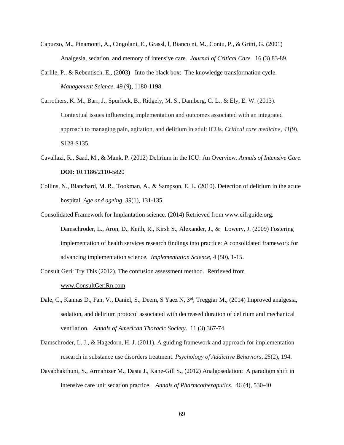- Capuzzo, M., Pinamonti, A., Cingolani, E., Grassl, l, Bianco ni, M., Contu, P., & Gritti, G. (2001) Analgesia, sedation, and memory of intensive care. *Journal of Critical Care.* 16 (3) 83-89.
- Carlile, P., & Rebentisch, E., (2003) Into the black box: The knowledge transformation cycle. *Management Science*. 49 (9), 1180-1198.
- Carrothers, K. M., Barr, J., Spurlock, B., Ridgely, M. S., Damberg, C. L., & Ely, E. W. (2013). Contextual issues influencing implementation and outcomes associated with an integrated approach to managing pain, agitation, and delirium in adult ICUs. *Critical care medicine*, *41*(9), S128-S135.
- Cavallazi, R., Saad, M., & Mank, P. (2012) Delirium in the ICU: An Overview. *Annals of Intensive Care.*  **DOI:** 10.1186/2110-5820
- Collins, N., Blanchard, M. R., Tookman, A., & Sampson, E. L. (2010). Detection of delirium in the acute hospital. *Age and ageing*, *39*(1), 131-135.
- Consolidated Framework for Implantation science. (2014) Retrieved from www.cifrguide.org. Damschroder, L., Aron, D., Keith, R., Kirsh S., Alexander, J., & Lowery, J. (2009) Fostering implementation of health services research findings into practice: A consolidated framework for advancing implementation science*. Implementation Science*, 4 (50), 1-15.
- Consult Geri: Try This (2012). The confusion assessment method. Retrieved from [www.ConsultGeriRn.com](http://www.consultgerirn.com/)
- Dale, C., Kannas D., Fan, V., Daniel, S., Deem, S Yaez N, 3rd, Treggiar M., (2014) Improved analgesia, sedation, and delirium protocol associated with decreased duration of delirium and mechanical ventilation. *Annals of American Thoracic Society*. 11 (3) 367-74
- Damschroder, L. J., & Hagedorn, H. J. (2011). A guiding framework and approach for implementation research in substance use disorders treatment. *Psychology of Addictive Behaviors*, *25*(2), 194.
- Davabhakthuni, S., Armahizer M., Dasta J., Kane-Gill S., (2012) Analgosedation: A paradigm shift in intensive care unit sedation practice. *Annals of Pharmcotheraputics*. 46 (4), 530-40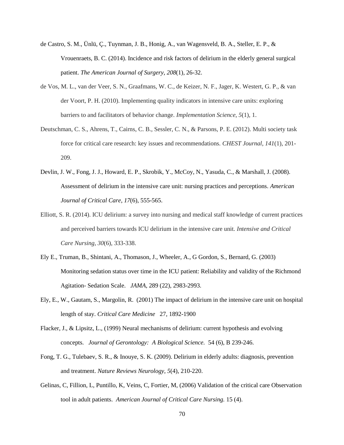- de Castro, S. M., Ünlü, Ç., Tuynman, J. B., Honig, A., van Wagensveld, B. A., Steller, E. P., & Vrouenraets, B. C. (2014). Incidence and risk factors of delirium in the elderly general surgical patient. *The American Journal of Surgery*, *208*(1), 26-32.
- de Vos, M. L., van der Veer, S. N., Graafmans, W. C., de Keizer, N. F., Jager, K. Westert, G. P., & van der Voort, P. H. (2010). Implementing quality indicators in intensive care units: exploring barriers to and facilitators of behavior change. *Implementation Science*, *5*(1), 1.
- Deutschman, C. S., Ahrens, T., Cairns, C. B., Sessler, C. N., & Parsons, P. E. (2012). Multi society task force for critical care research: key issues and recommendations. *CHEST Journal*, *141*(1), 201- 209.
- Devlin, J. W., Fong, J. J., Howard, E. P., Skrobik, Y., McCoy, N., Yasuda, C., & Marshall, J. (2008). Assessment of delirium in the intensive care unit: nursing practices and perceptions. *American Journal of Critical Care*, *17*(6), 555-565.
- Elliott, S. R. (2014). ICU delirium: a survey into nursing and medical staff knowledge of current practices and perceived barriers towards ICU delirium in the intensive care unit. *Intensive and Critical Care Nursing*, *30*(6), 333-338.
- Ely E., Truman, B., Shintani, A., Thomason, J., Wheeler, A., G Gordon, S., Bernard, G. (2003) Monitoring sedation status over time in the ICU patient: Reliability and validity of the Richmond Agitation- Sedation Scale. *JAMA,* 289 (22), 2983-2993.
- Ely, E., W., Gautam, S., Margolin, R. (2001) The impact of delirium in the intensive care unit on hospital length of stay. *Critical Care Medicine* 27, 1892-1900
- Flacker, J., & Lipsitz, L., (1999) Neural mechanisms of delirium: current hypothesis and evolving concepts. *Journal of Gerontology: A Biological Science.* 54 (6), B 239-246.
- Fong, T. G., Tulebaev, S. R., & Inouye, S. K. (2009). Delirium in elderly adults: diagnosis, prevention and treatment. *Nature Reviews Neurology*, *5*(4), 210-220.
- Gelinas, C, Fillion, L, Puntillo, K, Veins, C, Fortier, M, (2006) Validation of the critical care Observation tool in adult patients. *American Journal of Critical Care Nursing.* 15 (4).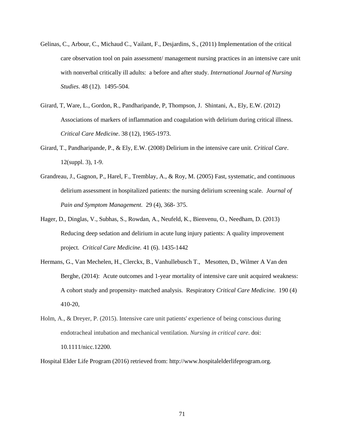- Gelinas, C., Arbour, C., Michaud C., Vailant, F., Desjardins, S., (2011) Implementation of the critical care observation tool on pain assessment/ management nursing practices in an intensive care unit with nonverbal critically ill adults: a before and after study. *International Journal of Nursing Studies*. 48 (12). 1495-504.
- Girard, T, Ware, L., Gordon, R., Pandharipande, P, Thompson, J. Shintani, A., Ely, E.W. (2012) Associations of markers of inflammation and coagulation with delirium during critical illness. *Critical Care Medicine*. 38 (12), 1965-1973.
- Girard, T., Pandharipande, P., & Ely, E.W. (2008) Delirium in the intensive care unit. *Critical Care*. 12(suppl. 3), 1-9.
- Grandreau, J., Gagnon, P., Harel, F., Tremblay, A., & Roy, M. (2005) Fast, systematic, and continuous delirium assessment in hospitalized patients: the nursing delirium screening scale. *Journal of Pain and Symptom Management.* 29 (4), 368- 375.
- Hager, D., Dinglas, V., Subhas, S., Rowdan, A., Neufeld, K., Bienvenu, O., Needham, D. (2013) Reducing deep sedation and delirium in acute lung injury patients: A quality improvement project. *Critical Care Medicine.* 41 (6). 1435-1442
- Hermans, G., Van Mechelen, H., Clerckx, B., Vanhullebusch T., Mesotten, D., Wilmer A Van den Berghe, (2014): Acute outcomes and 1-year mortality of intensive care unit acquired weakness: A cohort study and propensity- matched analysis. Respiratory *Critical Care Medicine.* 190 (4) 410-20,
- Holm, A., & Dreyer, P. (2015). Intensive care unit patients' experience of being conscious during endotracheal intubation and mechanical ventilation. *Nursing in critical care*. doi: 10.1111/nicc.12200.

Hospital Elder Life Program (2016) retrieved from: http://www.hospitalelderlifeprogram.org.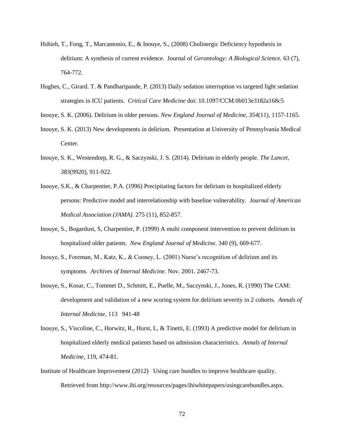- Hshieh, T., Fong, T., Marcantonio, E., & Inouye, S., (2008) Cholinergic Deficiency hypothesis in delirium: A synthesis of current evidence. Journal of *Gerontology: A Biological Science.* 63 (7), 764-772.
- Hughes, C., Girard. T. & Pandharipande, P. (2013) Daily sedation interruption vs targeted light sedation strategies in ICU patients. *Critical Care Medicine* doi: 10.1097/CCM.0b013e3182a168c5
- Inouye, S. K. (2006). Delirium in older persons. *New England Journal of Medicine*, *354*(11), 1157-1165.
- Inouye, S. K. (2013) New developments in delirium. Presentation at University of Pennsylvania Medical Center.
- Inouye, S. K., Westendorp, R. G., & Saczynski, J. S. (2014). Delirium in elderly people. *The Lancet*, *383*(9920), 911-922.
- Inouye, S.K., & Charpentier, P.A. (1996) Precipitating factors for delirium in hospitalized elderly persons: Predictive model and interrelationship with baseline vulnerability. *Journal of American Medical Association (JAMA).* 275 (11), 852-857.
- Inouye, S., Bogardust, S, Charpentier, P. (1999) A multi component intervention to prevent delirium in hospitalized older patients. *New England Journal of Medicine.* 340 (9), 669-677.
- Inouye, S., Foreman, M., Katz, K., & Cooney, L. (2001) Nurse's recognition of delirium and its symptoms. *Archives of Internal Medicine.* Nov. 2001. 2467-73.
- Inouye, S., Kosar, C., Tommet D., Schmitt, E., Puelle, M., Saczynski, J., Jones, R. (1990) The CAM: development and validation of a new scoring system for delirium severity in 2 cohorts. *Annals of Internal Medicine*, 113 941-48
- Inouye, S., Viscoline, C., Horwitz, R., Hurst, L, & Tinetti, E. (1993) A predictive model for delirium in hospitalized elderly medical patients based on admission characteristics. *Annals of Internal Medicine,* 119, 474-81.
- Institute of Healthcare Improvement (2012) Using care bundles to improve healthcare quality. Retrieved from http://www.ihi.org/resources/pages/ihiwhitepapers/usingcarebundles.aspx.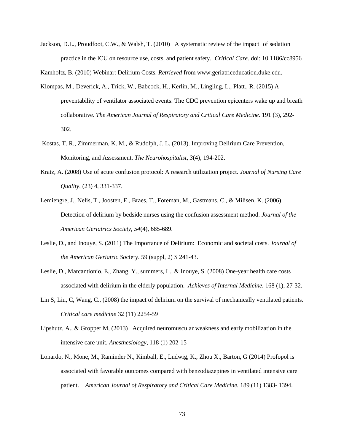Jackson, D.L., Proudfoot, C.W., & Walsh, T. (2010) A systematic review of the impact of sedation practice in the ICU on resource use, costs, and patient safety. *Critical Care.* doi: 10.1186/cc8956

Kamholtz, B. (2010) Webinar: Delirium Costs. *Retrieved* from www.geriatriceducation.duke.edu.

- Klompas, M., Deverick, A., Trick, W., Babcock, H., Kerlin, M., Lingling, L., Platt., R. (2015) A preventability of ventilator associated events: The CDC prevention epicenters wake up and breath collaborative. *The American Journal of Respiratory and Critical Care Medicine.* 191 (3), 292- 302.
- Kostas, T. R., Zimmerman, K. M., & Rudolph, J. L. (2013). Improving Delirium Care Prevention, Monitoring, and Assessment. *The Neurohospitalist*, *3*(4), 194-202.
- Kratz, A. (2008) Use of acute confusion protocol: A research utilization project. *Journal of Nursing Care Quality,* (23) 4, 331-337.
- Lemiengre, J., Nelis, T., Joosten, E., Braes, T., Foreman, M., Gastmans, C., & Milisen, K. (2006). Detection of delirium by bedside nurses using the confusion assessment method. *Journal of the American Geriatrics Society*, *54*(4), 685-689.
- Leslie, D., and Inouye, S. (2011) The Importance of Delirium: Economic and societal costs. *Journal of the American Geriatric So*ciety. 59 (suppl, 2) S 241-43.
- Leslie, D., Marcantionio, E., Zhang, Y., summers, L., & Inouye, S. (2008) One-year health care costs associated with delirium in the elderly population. *Achieves of Internal Medicine.* 168 (1), 27-32.
- Lin S, Liu, C, Wang, C., (2008) the impact of delirium on the survival of mechanically ventilated patients. *Critical care medicine* 32 (11) 2254-59
- Lipshutz, A., & Gropper M, (2013) Acquired neuromuscular weakness and early mobilization in the intensive care unit. *Anesthesiology*, 118 (1) 202-15
- Lonardo, N., Mone, M., Raminder N., Kimball, E., Ludwig, K., Zhou X., Barton, G (2014) Profopol is associated with favorable outcomes compared with benzodiazepines in ventilated intensive care patient. *American Journal of Respiratory and Critical Care Medicine.* 189 (11) 1383- 1394.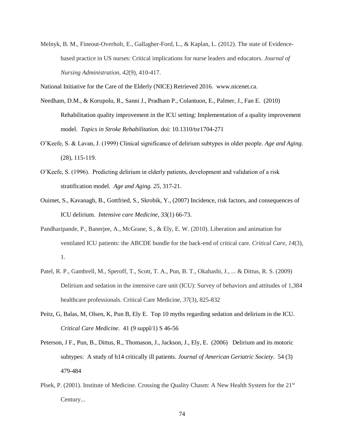Melnyk, B. M., Fineout-Overholt, E., Gallagher-Ford, L., & Kaplan, L. (2012). The state of Evidencebased practice in US nurses: Critical implications for nurse leaders and educators. *Journal of Nursing Administration*, *42*(9), 410-417.

National Initiative for the Care of the Elderly (NICE) Retrieved 2016. www.nicenet.ca.

- Needham, D.M., & Korupolu, R., Sanni J., Pradham P., Colantuon, E., Palmer, J., Fan E. (2010) Rehabilitation quality improvement in the ICU setting: Implementation of a quality improvement model. *Topics in Stroke Rehabilitation.* doi: 10.1310/tsr1704-271
- O'Keefe, S. & Lavan, J. (1999) Clinical significance of delirium subtypes in older people. *Age and Aging.*  (28), 115-119.
- O'Keefe, S. (1996). Predicting delirium in elderly patients, development and validation of a risk stratification model. *Age and Aging. 25*, 317-21.
- Ouimet, S., Kavanagh, B., Gottfried, S., Skrobik, Y., (2007) Incidence, risk factors, and consequences of ICU delirium. *Intensive care Medicine*, 33(1) 66-73.
- Pandharipande, P., Banerjee, A., McGrane, S., & Ely, E. W. (2010). Liberation and animation for ventilated ICU patients: the ABCDE bundle for the back-end of critical care. *Critical Care*, *14*(3), 1.
- Patel, R. P., Gambrell, M., Speroff, T., Scott, T. A., Pun, B. T., Okahashi, J., ... & Dittus, R. S. (2009) Delirium and sedation in the intensive care unit (ICU): Survey of behaviors and attitudes of 1,384 healthcare professionals. Critical Care Medicine, *37*(3), 825-832
- Peitz, G, Balas, M, Olsen, K, Pun B, Ely E. Top 10 myths regarding sedation and delirium in the ICU. *Critical Care Medicine*. 41 (9 suppl/1) S 46-56
- Peterson, J F., Pun, B., Dittus, R., Thomason, J., Jackson, J., Ely, E. (2006) Delirium and its motoric subtypes: A study of h14 critically ill patients. *Journal of American Geriatric Society*. 54 (3) 479-484
- Plsek, P. (2001). Institute of Medicine. Crossing the Quality Chasm: A New Health System for the 21<sup>st</sup> Century...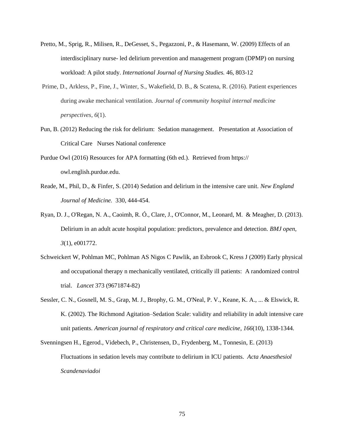- Pretto, M., Sprig, R., Milisen, R., DeGesset, S., Pegazzoni, P., & Hasemann, W. (2009) Effects of an interdisciplinary nurse- led delirium prevention and management program (DPMP) on nursing workload: A pilot study. *International Journal of Nursing Studies.* 46, 803-12
- Prime, D., Arkless, P., Fine, J., Winter, S., Wakefield, D. B., & Scatena, R. (2016). Patient experiences during awake mechanical ventilation. *Journal of community hospital internal medicine perspectives*, *6*(1).
- Pun, B. (2012) Reducing the risk for delirium: Sedation management. Presentation at Association of Critical Care Nurses National conference
- Purdue Owl (2016) Resources for APA formatting (6th ed.). Retrieved from https:// owl.english.purdue.edu.
- Reade, M., Phil, D., & Finfer, S. (2014) Sedation and delirium in the intensive care unit. *New England Journal of Medicine.* 330, 444-454.
- Ryan, D. J., O'Regan, N. A., Caoimh, R. Ó., Clare, J., O'Connor, M., Leonard, M. & Meagher, D. (2013). Delirium in an adult acute hospital population: predictors, prevalence and detection. *BMJ open*, *3*(1), e001772.
- Schweickert W, Pohlman MC, Pohlman AS Nigos C Pawlik, an Esbrook C, Kress J (2009) Early physical and occupational therapy n mechanically ventilated, critically ill patients: A randomized control trial. *Lancet* 373 (9671874-82)
- Sessler, C. N., Gosnell, M. S., Grap, M. J., Brophy, G. M., O'Neal, P. V., Keane, K. A., ... & Elswick, R. K. (2002). The Richmond Agitation–Sedation Scale: validity and reliability in adult intensive care unit patients. *American journal of respiratory and critical care medicine*, *166*(10), 1338-1344.
- Svenningsen H., Egerod., Videbech, P., Christensen, D., Frydenberg, M., Tonnesin, E. (2013) Fluctuations in sedation levels may contribute to delirium in ICU patients. *Acta Anaesthesiol Scandenaviadoi*